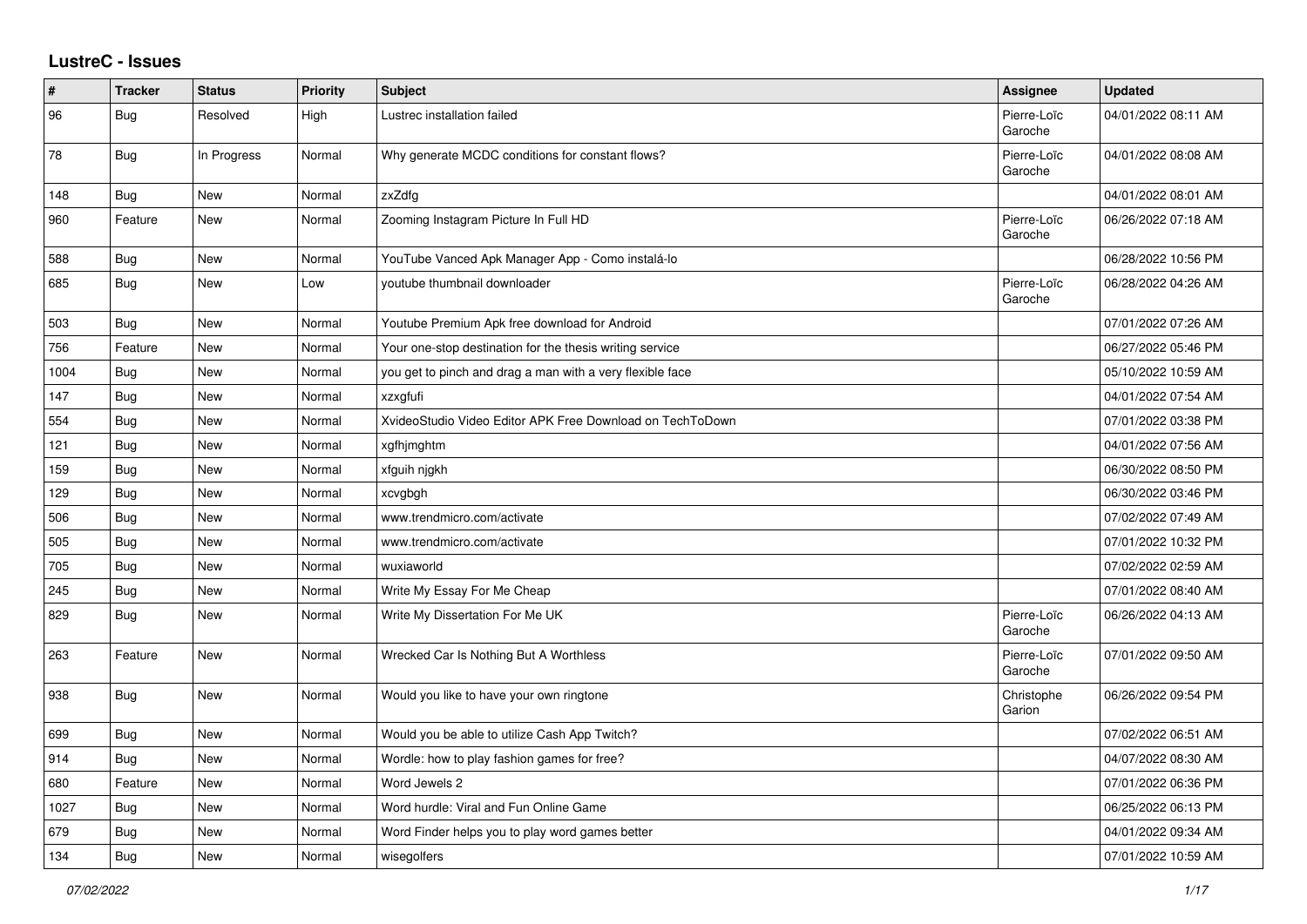## **LustreC - Issues**

| #    | <b>Tracker</b> | <b>Status</b> | <b>Priority</b> | <b>Subject</b>                                            | Assignee               | <b>Updated</b>      |
|------|----------------|---------------|-----------------|-----------------------------------------------------------|------------------------|---------------------|
| 96   | Bug            | Resolved      | High            | Lustrec installation failed                               | Pierre-Loïc<br>Garoche | 04/01/2022 08:11 AM |
| 78   | Bug            | In Progress   | Normal          | Why generate MCDC conditions for constant flows?          | Pierre-Loïc<br>Garoche | 04/01/2022 08:08 AM |
| 148  | Bug            | New           | Normal          | zxZdfg                                                    |                        | 04/01/2022 08:01 AM |
| 960  | Feature        | <b>New</b>    | Normal          | Zooming Instagram Picture In Full HD                      | Pierre-Loïc<br>Garoche | 06/26/2022 07:18 AM |
| 588  | Bug            | <b>New</b>    | Normal          | YouTube Vanced Apk Manager App - Como instalá-lo          |                        | 06/28/2022 10:56 PM |
| 685  | <b>Bug</b>     | New           | Low             | youtube thumbnail downloader                              | Pierre-Loïc<br>Garoche | 06/28/2022 04:26 AM |
| 503  | <b>Bug</b>     | New           | Normal          | Youtube Premium Apk free download for Android             |                        | 07/01/2022 07:26 AM |
| 756  | Feature        | New           | Normal          | Your one-stop destination for the thesis writing service  |                        | 06/27/2022 05:46 PM |
| 1004 | Bug            | <b>New</b>    | Normal          | you get to pinch and drag a man with a very flexible face |                        | 05/10/2022 10:59 AM |
| 147  | <b>Bug</b>     | New           | Normal          | xzxgfufi                                                  |                        | 04/01/2022 07:54 AM |
| 554  | <b>Bug</b>     | New           | Normal          | XvideoStudio Video Editor APK Free Download on TechToDown |                        | 07/01/2022 03:38 PM |
| 121  | <b>Bug</b>     | New           | Normal          | xgfhjmghtm                                                |                        | 04/01/2022 07:56 AM |
| 159  | Bug            | New           | Normal          | xfguih njgkh                                              |                        | 06/30/2022 08:50 PM |
| 129  | Bug            | New           | Normal          | xcvgbgh                                                   |                        | 06/30/2022 03:46 PM |
| 506  | <b>Bug</b>     | New           | Normal          | www.trendmicro.com/activate                               |                        | 07/02/2022 07:49 AM |
| 505  | Bug            | New           | Normal          | www.trendmicro.com/activate                               |                        | 07/01/2022 10:32 PM |
| 705  | <b>Bug</b>     | New           | Normal          | wuxiaworld                                                |                        | 07/02/2022 02:59 AM |
| 245  | <b>Bug</b>     | New           | Normal          | Write My Essay For Me Cheap                               |                        | 07/01/2022 08:40 AM |
| 829  | Bug            | New           | Normal          | Write My Dissertation For Me UK                           | Pierre-Loïc<br>Garoche | 06/26/2022 04:13 AM |
| 263  | Feature        | <b>New</b>    | Normal          | Wrecked Car Is Nothing But A Worthless                    | Pierre-Loïc<br>Garoche | 07/01/2022 09:50 AM |
| 938  | Bug            | New           | Normal          | Would you like to have your own ringtone                  | Christophe<br>Garion   | 06/26/2022 09:54 PM |
| 699  | Bug            | New           | Normal          | Would you be able to utilize Cash App Twitch?             |                        | 07/02/2022 06:51 AM |
| 914  | Bug            | New           | Normal          | Wordle: how to play fashion games for free?               |                        | 04/07/2022 08:30 AM |
| 680  | Feature        | New           | Normal          | Word Jewels 2                                             |                        | 07/01/2022 06:36 PM |
| 1027 | <b>Bug</b>     | <b>New</b>    | Normal          | Word hurdle: Viral and Fun Online Game                    |                        | 06/25/2022 06:13 PM |
| 679  | Bug            | <b>New</b>    | Normal          | Word Finder helps you to play word games better           |                        | 04/01/2022 09:34 AM |
| 134  | Bug            | New           | Normal          | wisegolfers                                               |                        | 07/01/2022 10:59 AM |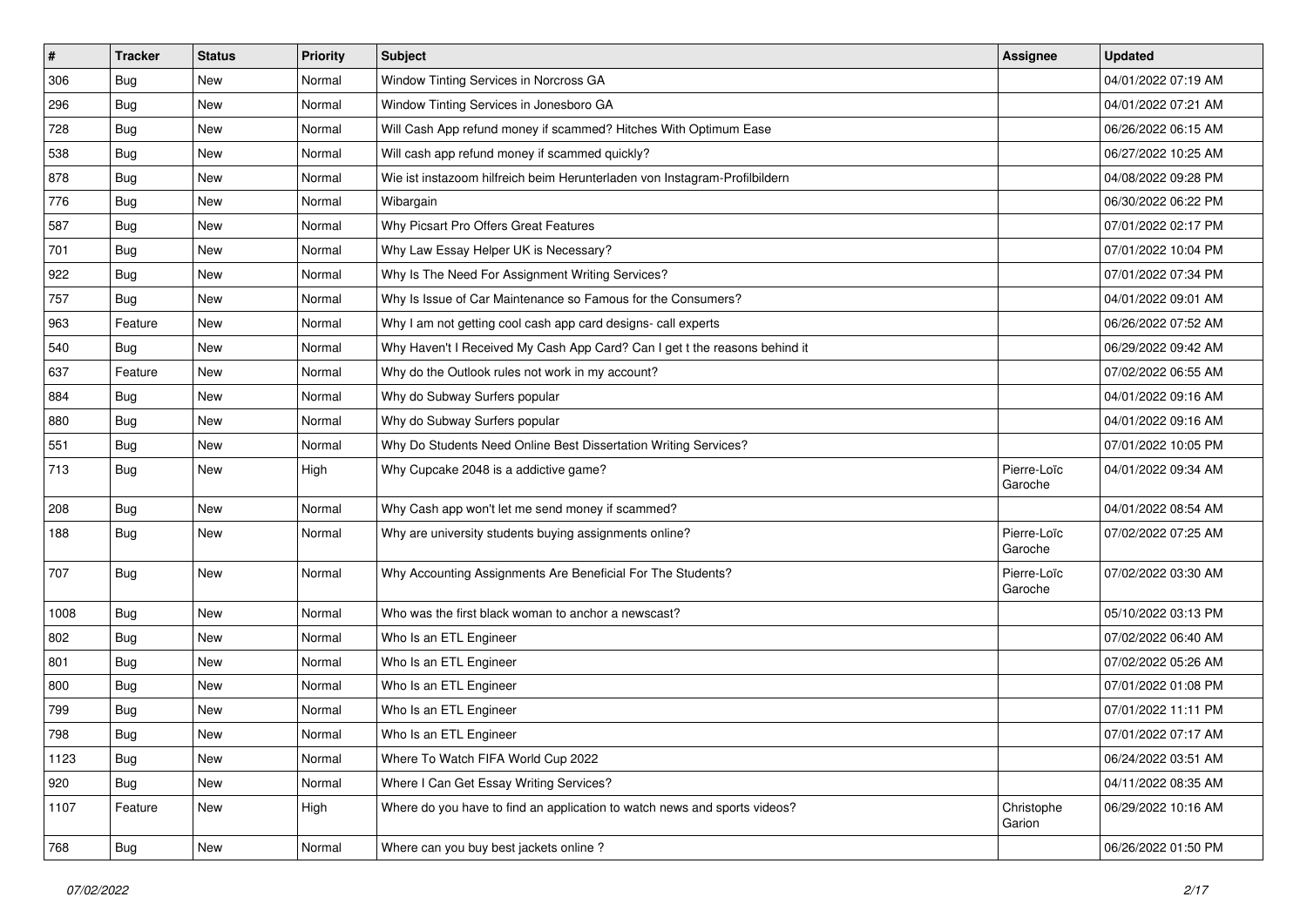| $\sharp$ | <b>Tracker</b> | <b>Status</b> | <b>Priority</b> | Subject                                                                    | Assignee               | <b>Updated</b>      |
|----------|----------------|---------------|-----------------|----------------------------------------------------------------------------|------------------------|---------------------|
| 306      | Bug            | New           | Normal          | Window Tinting Services in Norcross GA                                     |                        | 04/01/2022 07:19 AM |
| 296      | Bug            | New           | Normal          | Window Tinting Services in Jonesboro GA                                    |                        | 04/01/2022 07:21 AM |
| 728      | Bug            | New           | Normal          | Will Cash App refund money if scammed? Hitches With Optimum Ease           |                        | 06/26/2022 06:15 AM |
| 538      | Bug            | New           | Normal          | Will cash app refund money if scammed quickly?                             |                        | 06/27/2022 10:25 AM |
| 878      | Bug            | <b>New</b>    | Normal          | Wie ist instazoom hilfreich beim Herunterladen von Instagram-Profilbildern |                        | 04/08/2022 09:28 PM |
| 776      | Bug            | New           | Normal          | Wibargain                                                                  |                        | 06/30/2022 06:22 PM |
| 587      | Bug            | <b>New</b>    | Normal          | Why Picsart Pro Offers Great Features                                      |                        | 07/01/2022 02:17 PM |
| 701      | Bug            | New           | Normal          | Why Law Essay Helper UK is Necessary?                                      |                        | 07/01/2022 10:04 PM |
| 922      | Bug            | New           | Normal          | Why Is The Need For Assignment Writing Services?                           |                        | 07/01/2022 07:34 PM |
| 757      | Bug            | New           | Normal          | Why Is Issue of Car Maintenance so Famous for the Consumers?               |                        | 04/01/2022 09:01 AM |
| 963      | Feature        | New           | Normal          | Why I am not getting cool cash app card designs- call experts              |                        | 06/26/2022 07:52 AM |
| 540      | Bug            | New           | Normal          | Why Haven't I Received My Cash App Card? Can I get t the reasons behind it |                        | 06/29/2022 09:42 AM |
| 637      | Feature        | New           | Normal          | Why do the Outlook rules not work in my account?                           |                        | 07/02/2022 06:55 AM |
| 884      | Bug            | New           | Normal          | Why do Subway Surfers popular                                              |                        | 04/01/2022 09:16 AM |
| 880      | Bug            | New           | Normal          | Why do Subway Surfers popular                                              |                        | 04/01/2022 09:16 AM |
| 551      | Bug            | New           | Normal          | Why Do Students Need Online Best Dissertation Writing Services?            |                        | 07/01/2022 10:05 PM |
| 713      | Bug            | New           | High            | Why Cupcake 2048 is a addictive game?                                      | Pierre-Loïc<br>Garoche | 04/01/2022 09:34 AM |
| 208      | Bug            | New           | Normal          | Why Cash app won't let me send money if scammed?                           |                        | 04/01/2022 08:54 AM |
| 188      | Bug            | New           | Normal          | Why are university students buying assignments online?                     | Pierre-Loïc<br>Garoche | 07/02/2022 07:25 AM |
| 707      | Bug            | New           | Normal          | Why Accounting Assignments Are Beneficial For The Students?                | Pierre-Loïc<br>Garoche | 07/02/2022 03:30 AM |
| 1008     | Bug            | New           | Normal          | Who was the first black woman to anchor a newscast?                        |                        | 05/10/2022 03:13 PM |
| 802      | Bug            | New           | Normal          | Who Is an ETL Engineer                                                     |                        | 07/02/2022 06:40 AM |
| 801      | Bug            | New           | Normal          | Who Is an ETL Engineer                                                     |                        | 07/02/2022 05:26 AM |
| 800      | Bug            | New           | Normal          | Who Is an ETL Engineer                                                     |                        | 07/01/2022 01:08 PM |
| 799      | Bug            | New           | Normal          | Who Is an ETL Engineer                                                     |                        | 07/01/2022 11:11 PM |
| 798      | Bug            | New           | Normal          | Who Is an ETL Engineer                                                     |                        | 07/01/2022 07:17 AM |
| 1123     | Bug            | New           | Normal          | Where To Watch FIFA World Cup 2022                                         |                        | 06/24/2022 03:51 AM |
| 920      | Bug            | New           | Normal          | Where I Can Get Essay Writing Services?                                    |                        | 04/11/2022 08:35 AM |
| 1107     | Feature        | New           | High            | Where do you have to find an application to watch news and sports videos?  | Christophe<br>Garion   | 06/29/2022 10:16 AM |
| 768      | <b>Bug</b>     | New           | Normal          | Where can you buy best jackets online?                                     |                        | 06/26/2022 01:50 PM |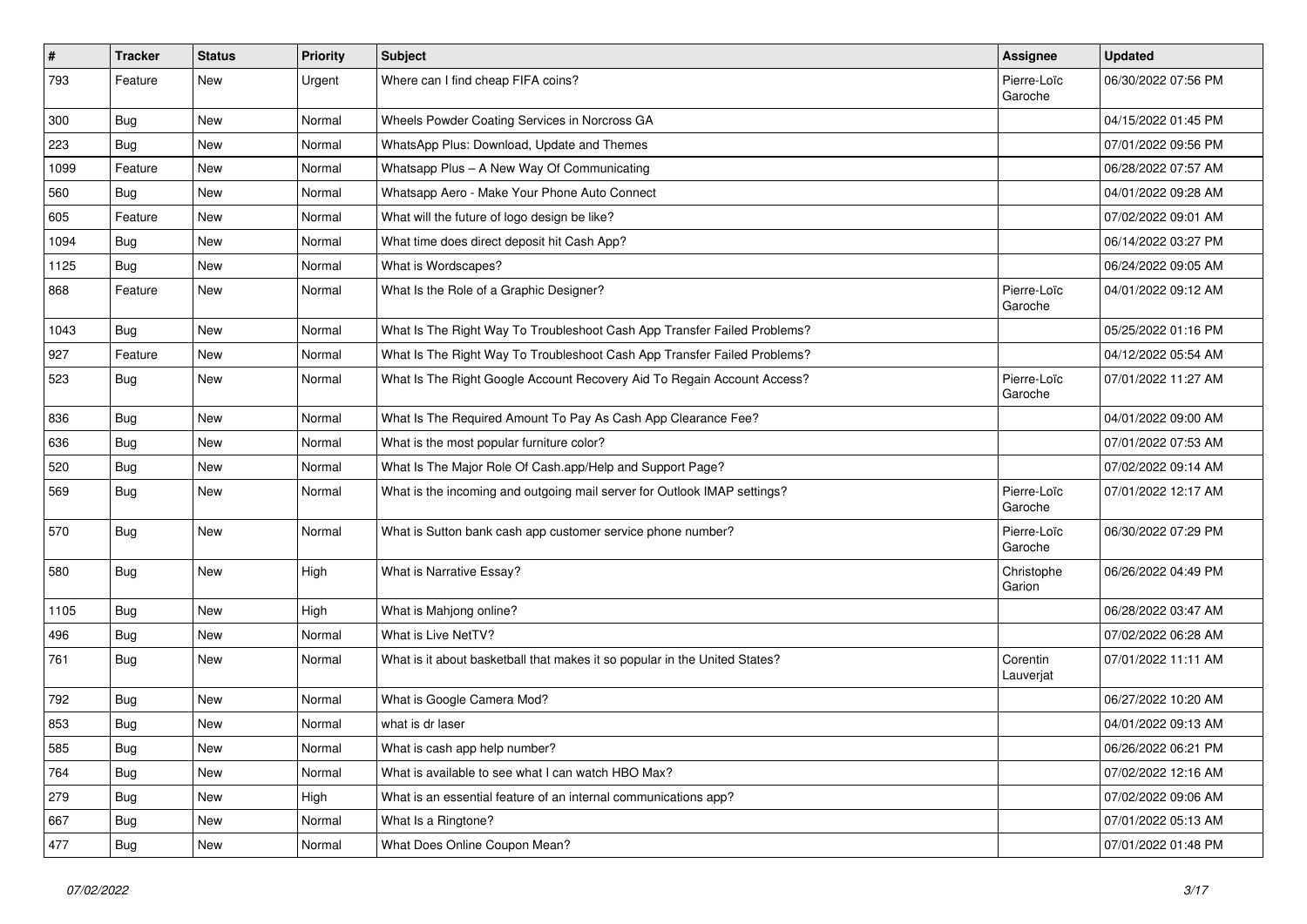| $\sharp$ | <b>Tracker</b> | <b>Status</b> | <b>Priority</b> | Subject                                                                    | Assignee               | <b>Updated</b>      |
|----------|----------------|---------------|-----------------|----------------------------------------------------------------------------|------------------------|---------------------|
| 793      | Feature        | New           | Urgent          | Where can I find cheap FIFA coins?                                         | Pierre-Loïc<br>Garoche | 06/30/2022 07:56 PM |
| 300      | Bug            | <b>New</b>    | Normal          | Wheels Powder Coating Services in Norcross GA                              |                        | 04/15/2022 01:45 PM |
| 223      | Bug            | New           | Normal          | WhatsApp Plus: Download, Update and Themes                                 |                        | 07/01/2022 09:56 PM |
| 1099     | Feature        | New           | Normal          | Whatsapp Plus - A New Way Of Communicating                                 |                        | 06/28/2022 07:57 AM |
| 560      | Bug            | New           | Normal          | Whatsapp Aero - Make Your Phone Auto Connect                               |                        | 04/01/2022 09:28 AM |
| 605      | Feature        | New           | Normal          | What will the future of logo design be like?                               |                        | 07/02/2022 09:01 AM |
| 1094     | Bug            | New           | Normal          | What time does direct deposit hit Cash App?                                |                        | 06/14/2022 03:27 PM |
| 1125     | Bug            | New           | Normal          | What is Wordscapes?                                                        |                        | 06/24/2022 09:05 AM |
| 868      | Feature        | New           | Normal          | What Is the Role of a Graphic Designer?                                    | Pierre-Loïc<br>Garoche | 04/01/2022 09:12 AM |
| 1043     | Bug            | New           | Normal          | What Is The Right Way To Troubleshoot Cash App Transfer Failed Problems?   |                        | 05/25/2022 01:16 PM |
| 927      | Feature        | New           | Normal          | What Is The Right Way To Troubleshoot Cash App Transfer Failed Problems?   |                        | 04/12/2022 05:54 AM |
| 523      | Bug            | New           | Normal          | What Is The Right Google Account Recovery Aid To Regain Account Access?    | Pierre-Loïc<br>Garoche | 07/01/2022 11:27 AM |
| 836      | Bug            | New           | Normal          | What Is The Required Amount To Pay As Cash App Clearance Fee?              |                        | 04/01/2022 09:00 AM |
| 636      | Bug            | New           | Normal          | What is the most popular furniture color?                                  |                        | 07/01/2022 07:53 AM |
| 520      | Bug            | New           | Normal          | What Is The Major Role Of Cash.app/Help and Support Page?                  |                        | 07/02/2022 09:14 AM |
| 569      | Bug            | New           | Normal          | What is the incoming and outgoing mail server for Outlook IMAP settings?   | Pierre-Loïc<br>Garoche | 07/01/2022 12:17 AM |
| 570      | Bug            | New           | Normal          | What is Sutton bank cash app customer service phone number?                | Pierre-Loïc<br>Garoche | 06/30/2022 07:29 PM |
| 580      | Bug            | New           | High            | What is Narrative Essay?                                                   | Christophe<br>Garion   | 06/26/2022 04:49 PM |
| 1105     | Bug            | New           | High            | What is Mahjong online?                                                    |                        | 06/28/2022 03:47 AM |
| 496      | Bug            | New           | Normal          | What is Live NetTV?                                                        |                        | 07/02/2022 06:28 AM |
| 761      | Bug            | New           | Normal          | What is it about basketball that makes it so popular in the United States? | Corentin<br>Lauverjat  | 07/01/2022 11:11 AM |
| 792      | Bug            | New           | Normal          | What is Google Camera Mod?                                                 |                        | 06/27/2022 10:20 AM |
| 853      | Bug            | New           | Normal          | what is dr laser                                                           |                        | 04/01/2022 09:13 AM |
| 585      | <b>Bug</b>     | New           | Normal          | What is cash app help number?                                              |                        | 06/26/2022 06:21 PM |
| 764      | Bug            | New           | Normal          | What is available to see what I can watch HBO Max?                         |                        | 07/02/2022 12:16 AM |
| 279      | Bug            | New           | High            | What is an essential feature of an internal communications app?            |                        | 07/02/2022 09:06 AM |
| 667      | Bug            | New           | Normal          | What Is a Ringtone?                                                        |                        | 07/01/2022 05:13 AM |
| 477      | <b>Bug</b>     | New           | Normal          | What Does Online Coupon Mean?                                              |                        | 07/01/2022 01:48 PM |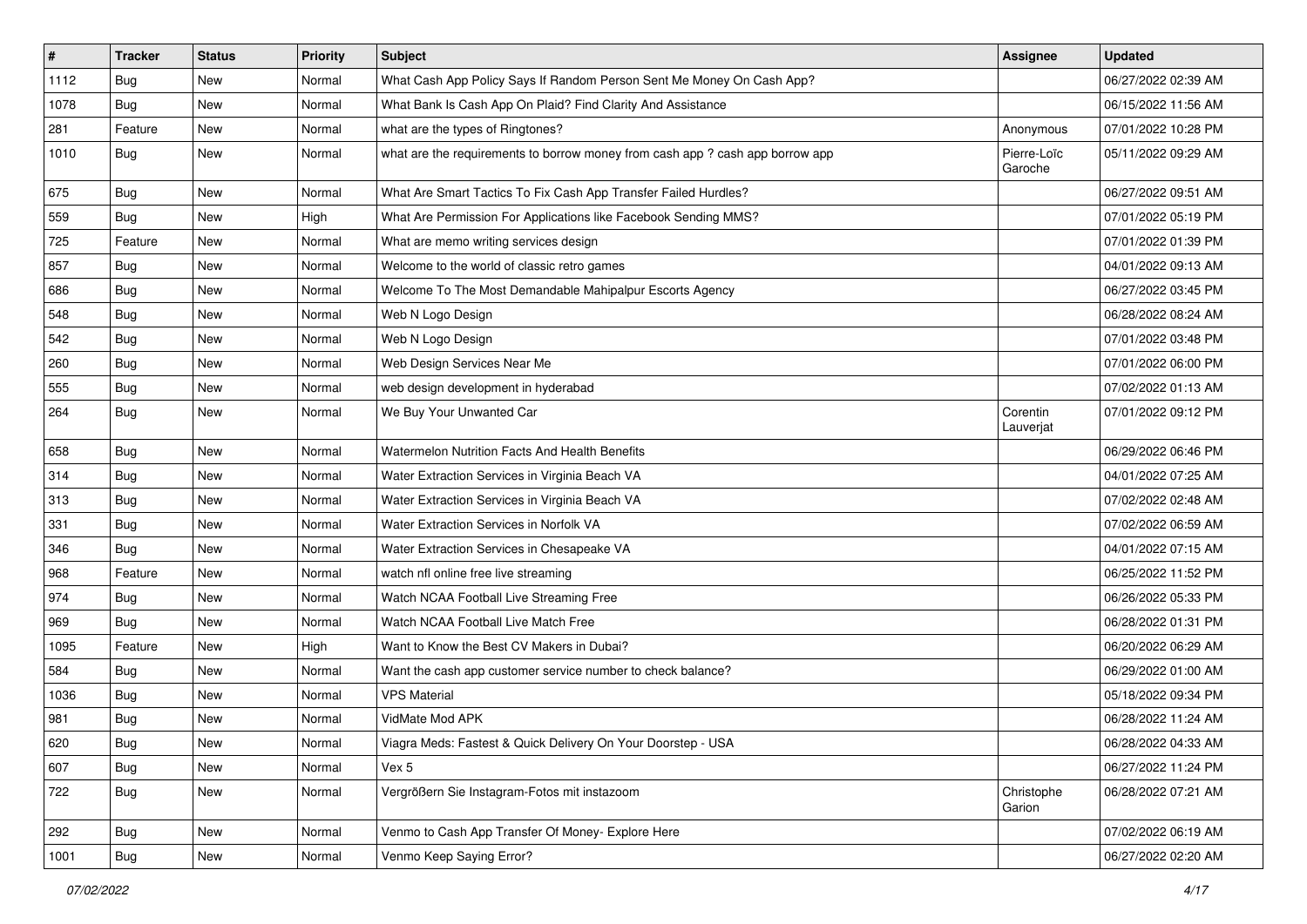| $\vert$ # | <b>Tracker</b> | <b>Status</b> | Priority | Subject                                                                       | Assignee               | <b>Updated</b>      |
|-----------|----------------|---------------|----------|-------------------------------------------------------------------------------|------------------------|---------------------|
| 1112      | Bug            | New           | Normal   | What Cash App Policy Says If Random Person Sent Me Money On Cash App?         |                        | 06/27/2022 02:39 AM |
| 1078      | Bug            | New           | Normal   | What Bank Is Cash App On Plaid? Find Clarity And Assistance                   |                        | 06/15/2022 11:56 AM |
| 281       | Feature        | New           | Normal   | what are the types of Ringtones?                                              | Anonymous              | 07/01/2022 10:28 PM |
| 1010      | Bug            | New           | Normal   | what are the requirements to borrow money from cash app ? cash app borrow app | Pierre-Loïc<br>Garoche | 05/11/2022 09:29 AM |
| 675       | <b>Bug</b>     | New           | Normal   | What Are Smart Tactics To Fix Cash App Transfer Failed Hurdles?               |                        | 06/27/2022 09:51 AM |
| 559       | Bug            | New           | High     | What Are Permission For Applications like Facebook Sending MMS?               |                        | 07/01/2022 05:19 PM |
| 725       | Feature        | <b>New</b>    | Normal   | What are memo writing services design                                         |                        | 07/01/2022 01:39 PM |
| 857       | Bug            | New           | Normal   | Welcome to the world of classic retro games                                   |                        | 04/01/2022 09:13 AM |
| 686       | Bug            | New           | Normal   | Welcome To The Most Demandable Mahipalpur Escorts Agency                      |                        | 06/27/2022 03:45 PM |
| 548       | Bug            | New           | Normal   | Web N Logo Design                                                             |                        | 06/28/2022 08:24 AM |
| 542       | Bug            | New           | Normal   | Web N Logo Design                                                             |                        | 07/01/2022 03:48 PM |
| 260       | Bug            | <b>New</b>    | Normal   | Web Design Services Near Me                                                   |                        | 07/01/2022 06:00 PM |
| 555       | Bug            | New           | Normal   | web design development in hyderabad                                           |                        | 07/02/2022 01:13 AM |
| 264       | Bug            | New           | Normal   | We Buy Your Unwanted Car                                                      | Corentin<br>Lauverjat  | 07/01/2022 09:12 PM |
| 658       | Bug            | New           | Normal   | Watermelon Nutrition Facts And Health Benefits                                |                        | 06/29/2022 06:46 PM |
| 314       | Bug            | New           | Normal   | Water Extraction Services in Virginia Beach VA                                |                        | 04/01/2022 07:25 AM |
| 313       | <b>Bug</b>     | New           | Normal   | Water Extraction Services in Virginia Beach VA                                |                        | 07/02/2022 02:48 AM |
| 331       | Bug            | New           | Normal   | Water Extraction Services in Norfolk VA                                       |                        | 07/02/2022 06:59 AM |
| 346       | Bug            | <b>New</b>    | Normal   | Water Extraction Services in Chesapeake VA                                    |                        | 04/01/2022 07:15 AM |
| 968       | Feature        | New           | Normal   | watch nfl online free live streaming                                          |                        | 06/25/2022 11:52 PM |
| 974       | Bug            | <b>New</b>    | Normal   | Watch NCAA Football Live Streaming Free                                       |                        | 06/26/2022 05:33 PM |
| 969       | Bug            | New           | Normal   | Watch NCAA Football Live Match Free                                           |                        | 06/28/2022 01:31 PM |
| 1095      | Feature        | New           | High     | Want to Know the Best CV Makers in Dubai?                                     |                        | 06/20/2022 06:29 AM |
| 584       | Bug            | New           | Normal   | Want the cash app customer service number to check balance?                   |                        | 06/29/2022 01:00 AM |
| 1036      | Bug            | New           | Normal   | <b>VPS Material</b>                                                           |                        | 05/18/2022 09:34 PM |
| 981       | Bug            | New           | Normal   | VidMate Mod APK                                                               |                        | 06/28/2022 11:24 AM |
| 620       | Bug            | New           | Normal   | Viagra Meds: Fastest & Quick Delivery On Your Doorstep - USA                  |                        | 06/28/2022 04:33 AM |
| 607       | Bug            | New           | Normal   | Vex 5                                                                         |                        | 06/27/2022 11:24 PM |
| 722       | Bug            | New           | Normal   | Vergrößern Sie Instagram-Fotos mit instazoom                                  | Christophe<br>Garion   | 06/28/2022 07:21 AM |
| 292       | Bug            | New           | Normal   | Venmo to Cash App Transfer Of Money- Explore Here                             |                        | 07/02/2022 06:19 AM |
| 1001      | <b>Bug</b>     | New           | Normal   | Venmo Keep Saying Error?                                                      |                        | 06/27/2022 02:20 AM |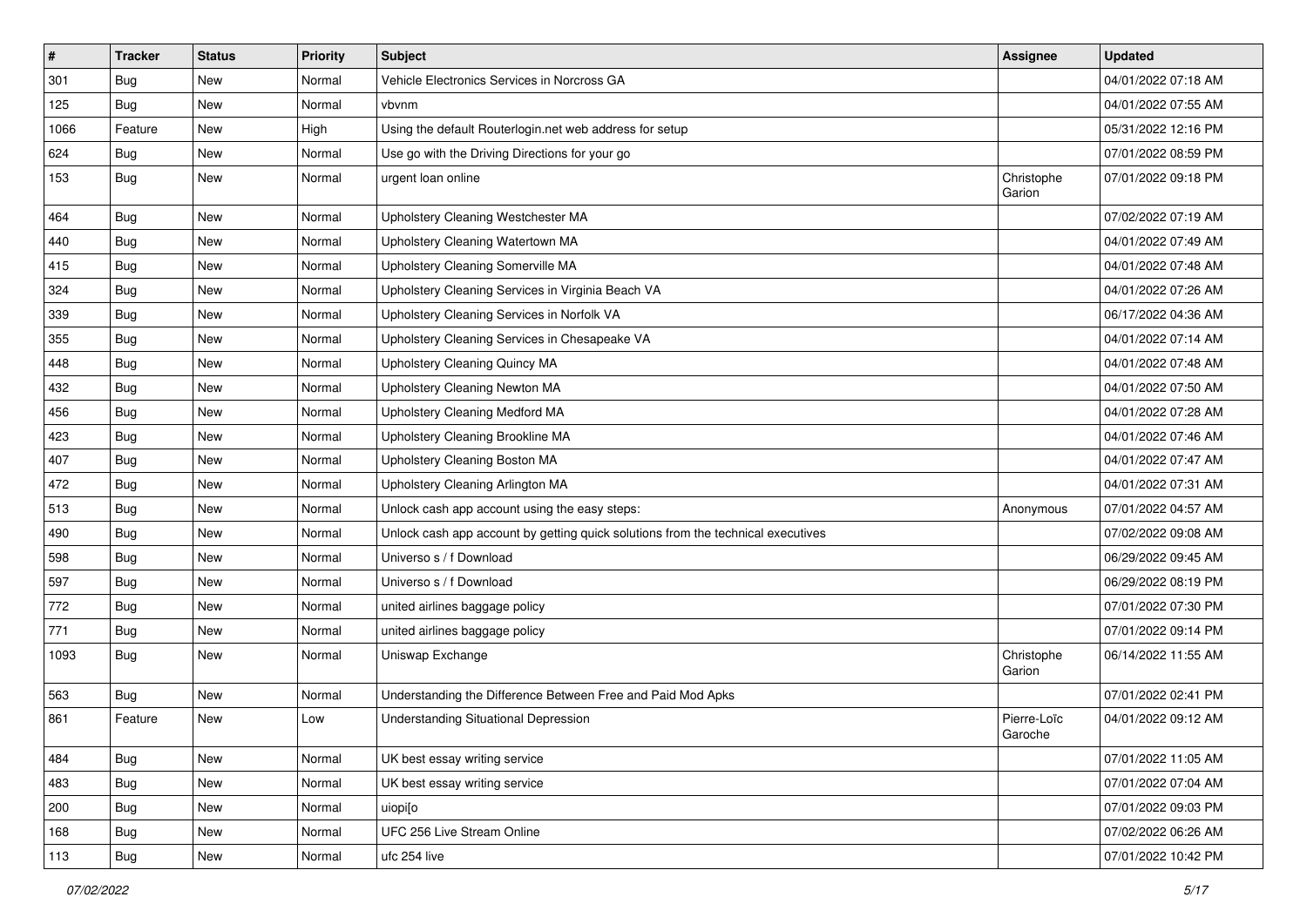| $\vert$ # | <b>Tracker</b> | <b>Status</b> | <b>Priority</b> | Subject                                                                          | Assignee               | <b>Updated</b>      |
|-----------|----------------|---------------|-----------------|----------------------------------------------------------------------------------|------------------------|---------------------|
| 301       | Bug            | New           | Normal          | Vehicle Electronics Services in Norcross GA                                      |                        | 04/01/2022 07:18 AM |
| 125       | Bug            | <b>New</b>    | Normal          | vbvnm                                                                            |                        | 04/01/2022 07:55 AM |
| 1066      | Feature        | New           | High            | Using the default Routerlogin.net web address for setup                          |                        | 05/31/2022 12:16 PM |
| 624       | Bug            | New           | Normal          | Use go with the Driving Directions for your go                                   |                        | 07/01/2022 08:59 PM |
| 153       | Bug            | New           | Normal          | urgent loan online                                                               | Christophe<br>Garion   | 07/01/2022 09:18 PM |
| 464       | Bug            | <b>New</b>    | Normal          | Upholstery Cleaning Westchester MA                                               |                        | 07/02/2022 07:19 AM |
| 440       | Bug            | New           | Normal          | Upholstery Cleaning Watertown MA                                                 |                        | 04/01/2022 07:49 AM |
| 415       | Bug            | New           | Normal          | Upholstery Cleaning Somerville MA                                                |                        | 04/01/2022 07:48 AM |
| 324       | Bug            | New           | Normal          | Upholstery Cleaning Services in Virginia Beach VA                                |                        | 04/01/2022 07:26 AM |
| 339       | <b>Bug</b>     | New           | Normal          | Upholstery Cleaning Services in Norfolk VA                                       |                        | 06/17/2022 04:36 AM |
| 355       | Bug            | New           | Normal          | Upholstery Cleaning Services in Chesapeake VA                                    |                        | 04/01/2022 07:14 AM |
| 448       | Bug            | New           | Normal          | Upholstery Cleaning Quincy MA                                                    |                        | 04/01/2022 07:48 AM |
| 432       | Bug            | New           | Normal          | Upholstery Cleaning Newton MA                                                    |                        | 04/01/2022 07:50 AM |
| 456       | Bug            | <b>New</b>    | Normal          | <b>Upholstery Cleaning Medford MA</b>                                            |                        | 04/01/2022 07:28 AM |
| 423       | Bug            | New           | Normal          | Upholstery Cleaning Brookline MA                                                 |                        | 04/01/2022 07:46 AM |
| 407       | Bug            | New           | Normal          | Upholstery Cleaning Boston MA                                                    |                        | 04/01/2022 07:47 AM |
| 472       | Bug            | New           | Normal          | Upholstery Cleaning Arlington MA                                                 |                        | 04/01/2022 07:31 AM |
| 513       | Bug            | New           | Normal          | Unlock cash app account using the easy steps:                                    | Anonymous              | 07/01/2022 04:57 AM |
| 490       | Bug            | New           | Normal          | Unlock cash app account by getting quick solutions from the technical executives |                        | 07/02/2022 09:08 AM |
| 598       | Bug            | New           | Normal          | Universo s / f Download                                                          |                        | 06/29/2022 09:45 AM |
| 597       | Bug            | New           | Normal          | Universo s / f Download                                                          |                        | 06/29/2022 08:19 PM |
| 772       | Bug            | New           | Normal          | united airlines baggage policy                                                   |                        | 07/01/2022 07:30 PM |
| 771       | Bug            | New           | Normal          | united airlines baggage policy                                                   |                        | 07/01/2022 09:14 PM |
| 1093      | Bug            | New           | Normal          | Uniswap Exchange                                                                 | Christophe<br>Garion   | 06/14/2022 11:55 AM |
| 563       | Bug            | New           | Normal          | Understanding the Difference Between Free and Paid Mod Apks                      |                        | 07/01/2022 02:41 PM |
| 861       | Feature        | <b>New</b>    | Low             | <b>Understanding Situational Depression</b>                                      | Pierre-Loïc<br>Garoche | 04/01/2022 09:12 AM |
| 484       | Bug            | New           | Normal          | UK best essay writing service                                                    |                        | 07/01/2022 11:05 AM |
| 483       | <b>Bug</b>     | New           | Normal          | UK best essay writing service                                                    |                        | 07/01/2022 07:04 AM |
| 200       | Bug            | New           | Normal          | uiopi[o                                                                          |                        | 07/01/2022 09:03 PM |
| 168       | Bug            | New           | Normal          | UFC 256 Live Stream Online                                                       |                        | 07/02/2022 06:26 AM |
| 113       | <b>Bug</b>     | New           | Normal          | ufc 254 live                                                                     |                        | 07/01/2022 10:42 PM |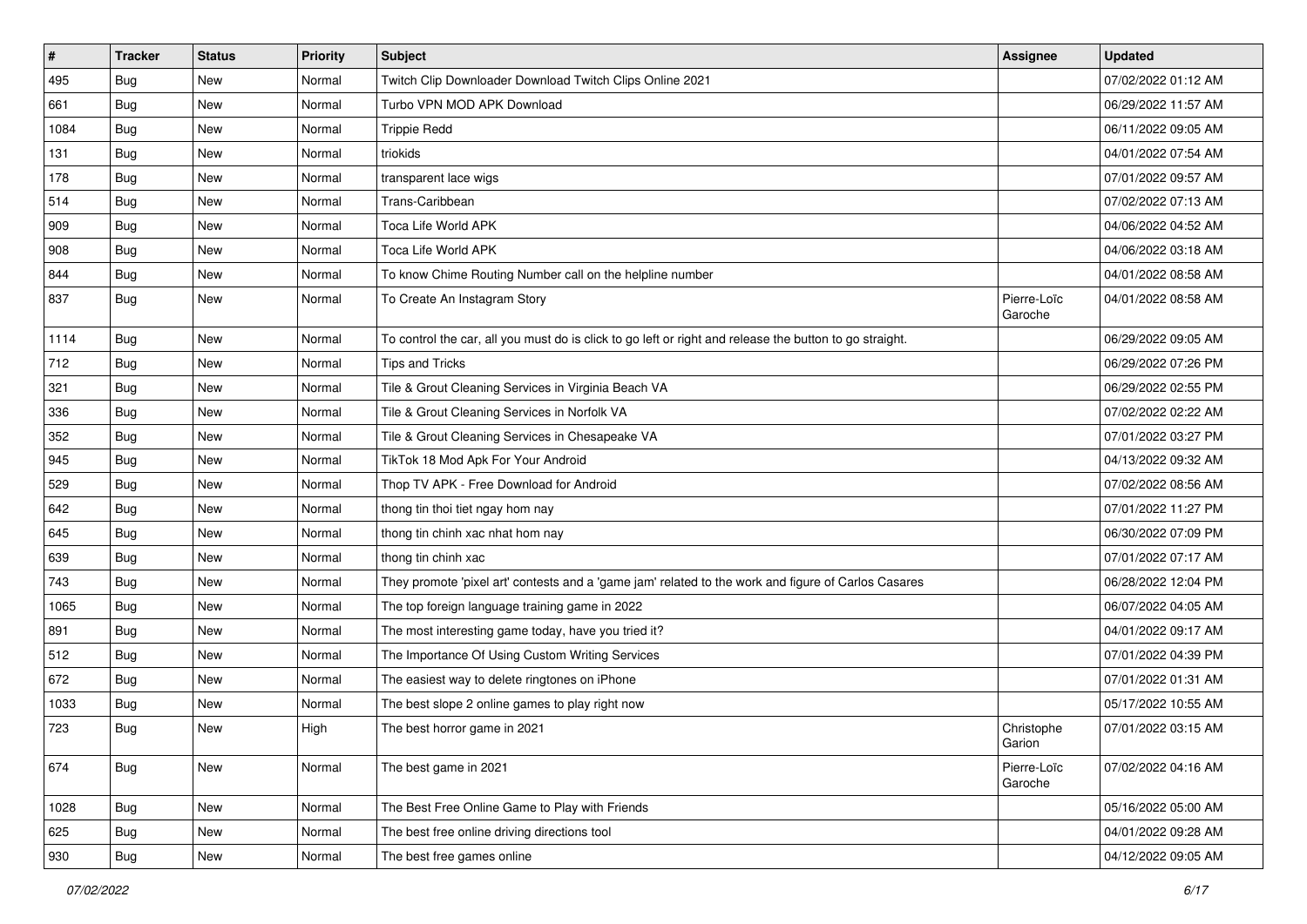| $\vert$ # | <b>Tracker</b> | <b>Status</b> | <b>Priority</b> | <b>Subject</b>                                                                                          | Assignee               | <b>Updated</b>      |
|-----------|----------------|---------------|-----------------|---------------------------------------------------------------------------------------------------------|------------------------|---------------------|
| 495       | Bug            | New           | Normal          | Twitch Clip Downloader Download Twitch Clips Online 2021                                                |                        | 07/02/2022 01:12 AM |
| 661       | Bug            | New           | Normal          | Turbo VPN MOD APK Download                                                                              |                        | 06/29/2022 11:57 AM |
| 1084      | Bug            | New           | Normal          | <b>Trippie Redd</b>                                                                                     |                        | 06/11/2022 09:05 AM |
| 131       | Bug            | New           | Normal          | triokids                                                                                                |                        | 04/01/2022 07:54 AM |
| 178       | Bug            | New           | Normal          | transparent lace wigs                                                                                   |                        | 07/01/2022 09:57 AM |
| 514       | <b>Bug</b>     | New           | Normal          | Trans-Caribbean                                                                                         |                        | 07/02/2022 07:13 AM |
| 909       | <b>Bug</b>     | New           | Normal          | Toca Life World APK                                                                                     |                        | 04/06/2022 04:52 AM |
| 908       | Bug            | New           | Normal          | Toca Life World APK                                                                                     |                        | 04/06/2022 03:18 AM |
| 844       | Bug            | New           | Normal          | To know Chime Routing Number call on the helpline number                                                |                        | 04/01/2022 08:58 AM |
| 837       | Bug            | New           | Normal          | To Create An Instagram Story                                                                            | Pierre-Loïc<br>Garoche | 04/01/2022 08:58 AM |
| 1114      | Bug            | New           | Normal          | To control the car, all you must do is click to go left or right and release the button to go straight. |                        | 06/29/2022 09:05 AM |
| 712       | Bug            | New           | Normal          | <b>Tips and Tricks</b>                                                                                  |                        | 06/29/2022 07:26 PM |
| 321       | <b>Bug</b>     | New           | Normal          | Tile & Grout Cleaning Services in Virginia Beach VA                                                     |                        | 06/29/2022 02:55 PM |
| 336       | <b>Bug</b>     | New           | Normal          | Tile & Grout Cleaning Services in Norfolk VA                                                            |                        | 07/02/2022 02:22 AM |
| 352       | Bug            | New           | Normal          | Tile & Grout Cleaning Services in Chesapeake VA                                                         |                        | 07/01/2022 03:27 PM |
| 945       | <b>Bug</b>     | New           | Normal          | TikTok 18 Mod Apk For Your Android                                                                      |                        | 04/13/2022 09:32 AM |
| 529       | Bug            | New           | Normal          | Thop TV APK - Free Download for Android                                                                 |                        | 07/02/2022 08:56 AM |
| 642       | Bug            | New           | Normal          | thong tin thoi tiet ngay hom nay                                                                        |                        | 07/01/2022 11:27 PM |
| 645       | <b>Bug</b>     | New           | Normal          | thong tin chinh xac nhat hom nay                                                                        |                        | 06/30/2022 07:09 PM |
| 639       | <b>Bug</b>     | New           | Normal          | thong tin chinh xac                                                                                     |                        | 07/01/2022 07:17 AM |
| 743       | Bug            | New           | Normal          | They promote 'pixel art' contests and a 'game jam' related to the work and figure of Carlos Casares     |                        | 06/28/2022 12:04 PM |
| 1065      | Bug            | New           | Normal          | The top foreign language training game in 2022                                                          |                        | 06/07/2022 04:05 AM |
| 891       | Bug            | New           | Normal          | The most interesting game today, have you tried it?                                                     |                        | 04/01/2022 09:17 AM |
| 512       | Bug            | New           | Normal          | The Importance Of Using Custom Writing Services                                                         |                        | 07/01/2022 04:39 PM |
| 672       | Bug            | New           | Normal          | The easiest way to delete ringtones on iPhone                                                           |                        | 07/01/2022 01:31 AM |
| 1033      | Bug            | New           | Normal          | The best slope 2 online games to play right now                                                         |                        | 05/17/2022 10:55 AM |
| 723       | Bug            | New           | High            | The best horror game in 2021                                                                            | Christophe<br>Garion   | 07/01/2022 03:15 AM |
| 674       | Bug            | New           | Normal          | The best game in 2021                                                                                   | Pierre-Loïc<br>Garoche | 07/02/2022 04:16 AM |
| 1028      | Bug            | New           | Normal          | The Best Free Online Game to Play with Friends                                                          |                        | 05/16/2022 05:00 AM |
| 625       | Bug            | New           | Normal          | The best free online driving directions tool                                                            |                        | 04/01/2022 09:28 AM |
| 930       | Bug            | New           | Normal          | The best free games online                                                                              |                        | 04/12/2022 09:05 AM |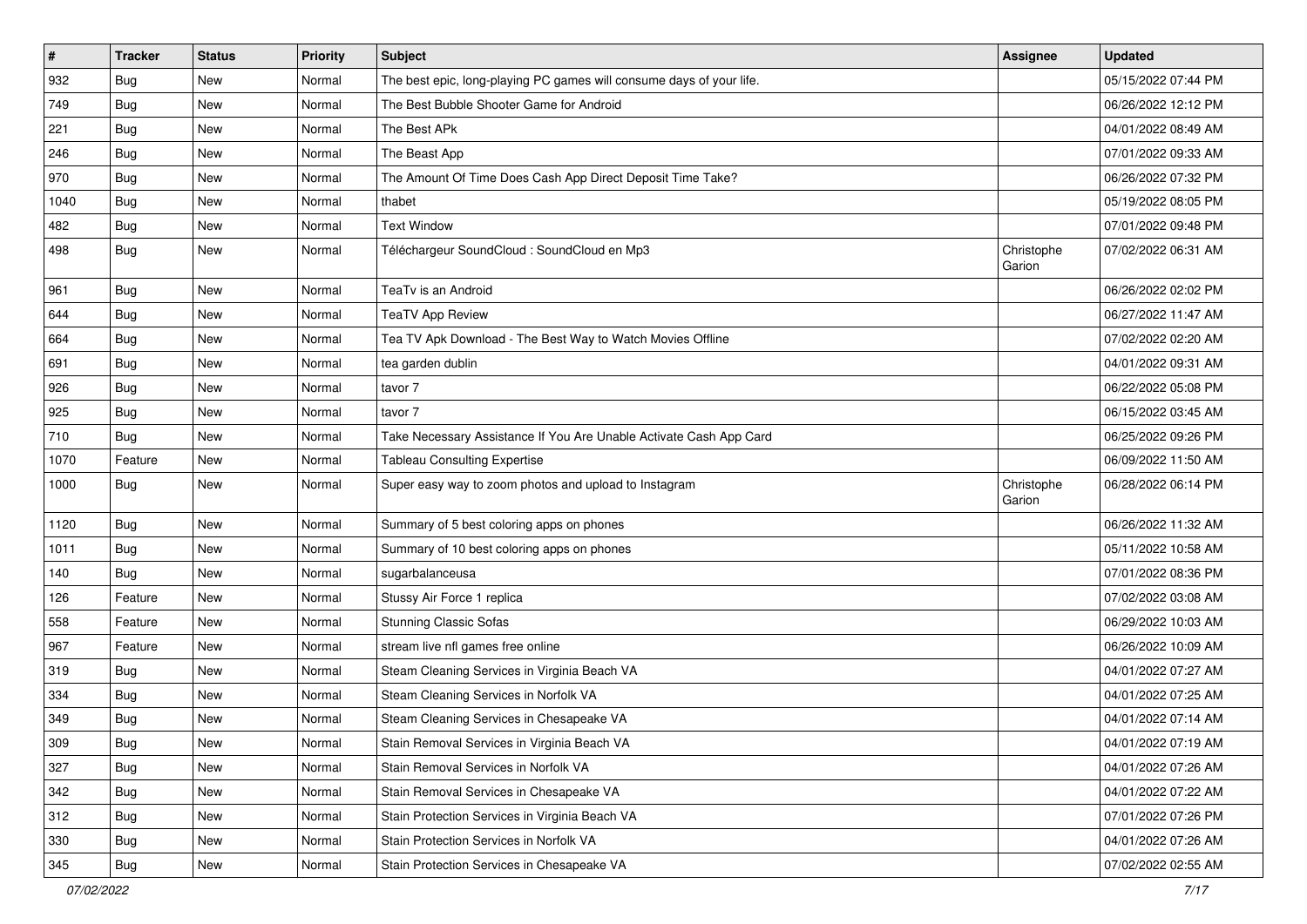| $\vert$ # | <b>Tracker</b> | <b>Status</b> | <b>Priority</b> | <b>Subject</b>                                                       | Assignee             | <b>Updated</b>      |
|-----------|----------------|---------------|-----------------|----------------------------------------------------------------------|----------------------|---------------------|
| 932       | Bug            | New           | Normal          | The best epic, long-playing PC games will consume days of your life. |                      | 05/15/2022 07:44 PM |
| 749       | <b>Bug</b>     | New           | Normal          | The Best Bubble Shooter Game for Android                             |                      | 06/26/2022 12:12 PM |
| 221       | Bug            | New           | Normal          | The Best APk                                                         |                      | 04/01/2022 08:49 AM |
| 246       | Bug            | New           | Normal          | The Beast App                                                        |                      | 07/01/2022 09:33 AM |
| 970       | Bug            | <b>New</b>    | Normal          | The Amount Of Time Does Cash App Direct Deposit Time Take?           |                      | 06/26/2022 07:32 PM |
| 1040      | Bug            | New           | Normal          | thabet                                                               |                      | 05/19/2022 08:05 PM |
| 482       | Bug            | New           | Normal          | <b>Text Window</b>                                                   |                      | 07/01/2022 09:48 PM |
| 498       | Bug            | New           | Normal          | Téléchargeur SoundCloud : SoundCloud en Mp3                          | Christophe<br>Garion | 07/02/2022 06:31 AM |
| 961       | Bug            | New           | Normal          | TeaTv is an Android                                                  |                      | 06/26/2022 02:02 PM |
| 644       | Bug            | New           | Normal          | <b>TeaTV App Review</b>                                              |                      | 06/27/2022 11:47 AM |
| 664       | Bug            | New           | Normal          | Tea TV Apk Download - The Best Way to Watch Movies Offline           |                      | 07/02/2022 02:20 AM |
| 691       | Bug            | New           | Normal          | tea garden dublin                                                    |                      | 04/01/2022 09:31 AM |
| 926       | <b>Bug</b>     | New           | Normal          | tavor 7                                                              |                      | 06/22/2022 05:08 PM |
| 925       | Bug            | New           | Normal          | tavor 7                                                              |                      | 06/15/2022 03:45 AM |
| 710       | Bug            | New           | Normal          | Take Necessary Assistance If You Are Unable Activate Cash App Card   |                      | 06/25/2022 09:26 PM |
| 1070      | Feature        | New           | Normal          | <b>Tableau Consulting Expertise</b>                                  |                      | 06/09/2022 11:50 AM |
| 1000      | Bug            | New           | Normal          | Super easy way to zoom photos and upload to Instagram                | Christophe<br>Garion | 06/28/2022 06:14 PM |
| 1120      | Bug            | New           | Normal          | Summary of 5 best coloring apps on phones                            |                      | 06/26/2022 11:32 AM |
| 1011      | Bug            | New           | Normal          | Summary of 10 best coloring apps on phones                           |                      | 05/11/2022 10:58 AM |
| 140       | <b>Bug</b>     | New           | Normal          | sugarbalanceusa                                                      |                      | 07/01/2022 08:36 PM |
| 126       | Feature        | New           | Normal          | Stussy Air Force 1 replica                                           |                      | 07/02/2022 03:08 AM |
| 558       | Feature        | New           | Normal          | <b>Stunning Classic Sofas</b>                                        |                      | 06/29/2022 10:03 AM |
| 967       | Feature        | New           | Normal          | stream live nfl games free online                                    |                      | 06/26/2022 10:09 AM |
| 319       | Bug            | <b>New</b>    | Normal          | Steam Cleaning Services in Virginia Beach VA                         |                      | 04/01/2022 07:27 AM |
| 334       | Bug            | New           | Normal          | Steam Cleaning Services in Norfolk VA                                |                      | 04/01/2022 07:25 AM |
| 349       | Bug            | New           | Normal          | Steam Cleaning Services in Chesapeake VA                             |                      | 04/01/2022 07:14 AM |
| 309       | Bug            | New           | Normal          | Stain Removal Services in Virginia Beach VA                          |                      | 04/01/2022 07:19 AM |
| 327       | Bug            | New           | Normal          | Stain Removal Services in Norfolk VA                                 |                      | 04/01/2022 07:26 AM |
| 342       | Bug            | New           | Normal          | Stain Removal Services in Chesapeake VA                              |                      | 04/01/2022 07:22 AM |
| 312       | Bug            | New           | Normal          | Stain Protection Services in Virginia Beach VA                       |                      | 07/01/2022 07:26 PM |
| 330       | Bug            | New           | Normal          | Stain Protection Services in Norfolk VA                              |                      | 04/01/2022 07:26 AM |
| 345       | <b>Bug</b>     | New           | Normal          | Stain Protection Services in Chesapeake VA                           |                      | 07/02/2022 02:55 AM |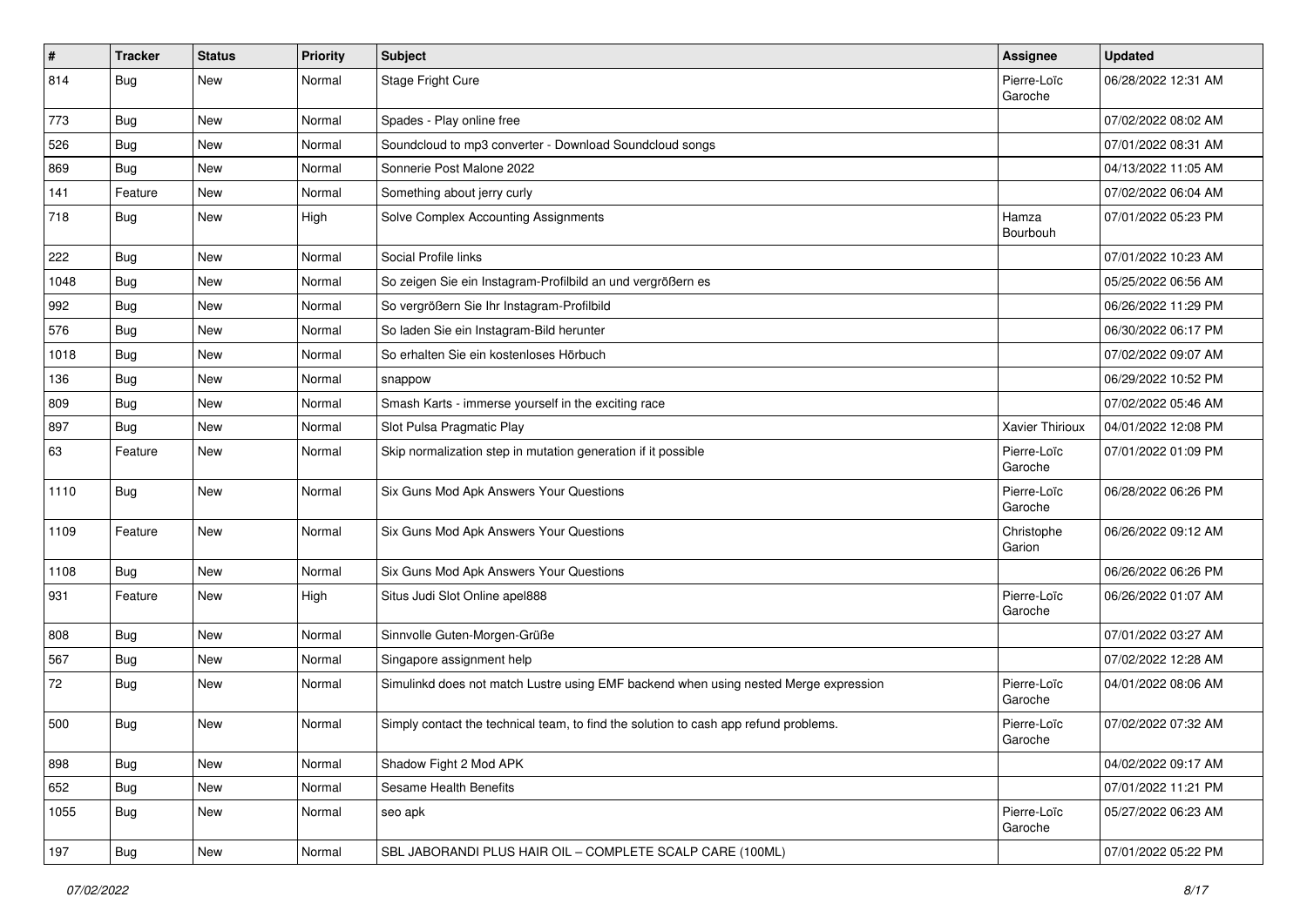| $\vert$ # | <b>Tracker</b> | <b>Status</b> | <b>Priority</b> | Subject                                                                              | Assignee               | <b>Updated</b>      |
|-----------|----------------|---------------|-----------------|--------------------------------------------------------------------------------------|------------------------|---------------------|
| 814       | Bug            | New           | Normal          | Stage Fright Cure                                                                    | Pierre-Loïc<br>Garoche | 06/28/2022 12:31 AM |
| 773       | Bug            | New           | Normal          | Spades - Play online free                                                            |                        | 07/02/2022 08:02 AM |
| 526       | Bug            | New           | Normal          | Soundcloud to mp3 converter - Download Soundcloud songs                              |                        | 07/01/2022 08:31 AM |
| 869       | Bug            | <b>New</b>    | Normal          | Sonnerie Post Malone 2022                                                            |                        | 04/13/2022 11:05 AM |
| 141       | Feature        | New           | Normal          | Something about jerry curly                                                          |                        | 07/02/2022 06:04 AM |
| 718       | Bug            | New           | High            | Solve Complex Accounting Assignments                                                 | Hamza<br>Bourbouh      | 07/01/2022 05:23 PM |
| 222       | Bug            | New           | Normal          | Social Profile links                                                                 |                        | 07/01/2022 10:23 AM |
| 1048      | Bug            | New           | Normal          | So zeigen Sie ein Instagram-Profilbild an und vergrößern es                          |                        | 05/25/2022 06:56 AM |
| 992       | Bug            | New           | Normal          | So vergrößern Sie Ihr Instagram-Profilbild                                           |                        | 06/26/2022 11:29 PM |
| 576       | Bug            | New           | Normal          | So laden Sie ein Instagram-Bild herunter                                             |                        | 06/30/2022 06:17 PM |
| 1018      | Bug            | <b>New</b>    | Normal          | So erhalten Sie ein kostenloses Hörbuch                                              |                        | 07/02/2022 09:07 AM |
| 136       | Bug            | New           | Normal          | snappow                                                                              |                        | 06/29/2022 10:52 PM |
| 809       | Bug            | New           | Normal          | Smash Karts - immerse yourself in the exciting race                                  |                        | 07/02/2022 05:46 AM |
| 897       | Bug            | New           | Normal          | Slot Pulsa Pragmatic Play                                                            | Xavier Thirioux        | 04/01/2022 12:08 PM |
| 63        | Feature        | New           | Normal          | Skip normalization step in mutation generation if it possible                        | Pierre-Loïc<br>Garoche | 07/01/2022 01:09 PM |
| 1110      | Bug            | New           | Normal          | Six Guns Mod Apk Answers Your Questions                                              | Pierre-Loïc<br>Garoche | 06/28/2022 06:26 PM |
| 1109      | Feature        | New           | Normal          | Six Guns Mod Apk Answers Your Questions                                              | Christophe<br>Garion   | 06/26/2022 09:12 AM |
| 1108      | Bug            | New           | Normal          | Six Guns Mod Apk Answers Your Questions                                              |                        | 06/26/2022 06:26 PM |
| 931       | Feature        | New           | High            | Situs Judi Slot Online apel888                                                       | Pierre-Loïc<br>Garoche | 06/26/2022 01:07 AM |
| 808       | Bug            | New           | Normal          | Sinnvolle Guten-Morgen-Grüße                                                         |                        | 07/01/2022 03:27 AM |
| 567       | Bug            | New           | Normal          | Singapore assignment help                                                            |                        | 07/02/2022 12:28 AM |
| 72        | Bug            | New           | Normal          | Simulinkd does not match Lustre using EMF backend when using nested Merge expression | Pierre-Loïc<br>Garoche | 04/01/2022 08:06 AM |
| 500       | Bug            | New           | Normal          | Simply contact the technical team, to find the solution to cash app refund problems. | Pierre-Loïc<br>Garoche | 07/02/2022 07:32 AM |
| 898       | <b>Bug</b>     | New           | Normal          | Shadow Fight 2 Mod APK                                                               |                        | 04/02/2022 09:17 AM |
| 652       | <b>Bug</b>     | New           | Normal          | Sesame Health Benefits                                                               |                        | 07/01/2022 11:21 PM |
| 1055      | Bug            | New           | Normal          | seo apk                                                                              | Pierre-Loïc<br>Garoche | 05/27/2022 06:23 AM |
| 197       | Bug            | New           | Normal          | SBL JABORANDI PLUS HAIR OIL - COMPLETE SCALP CARE (100ML)                            |                        | 07/01/2022 05:22 PM |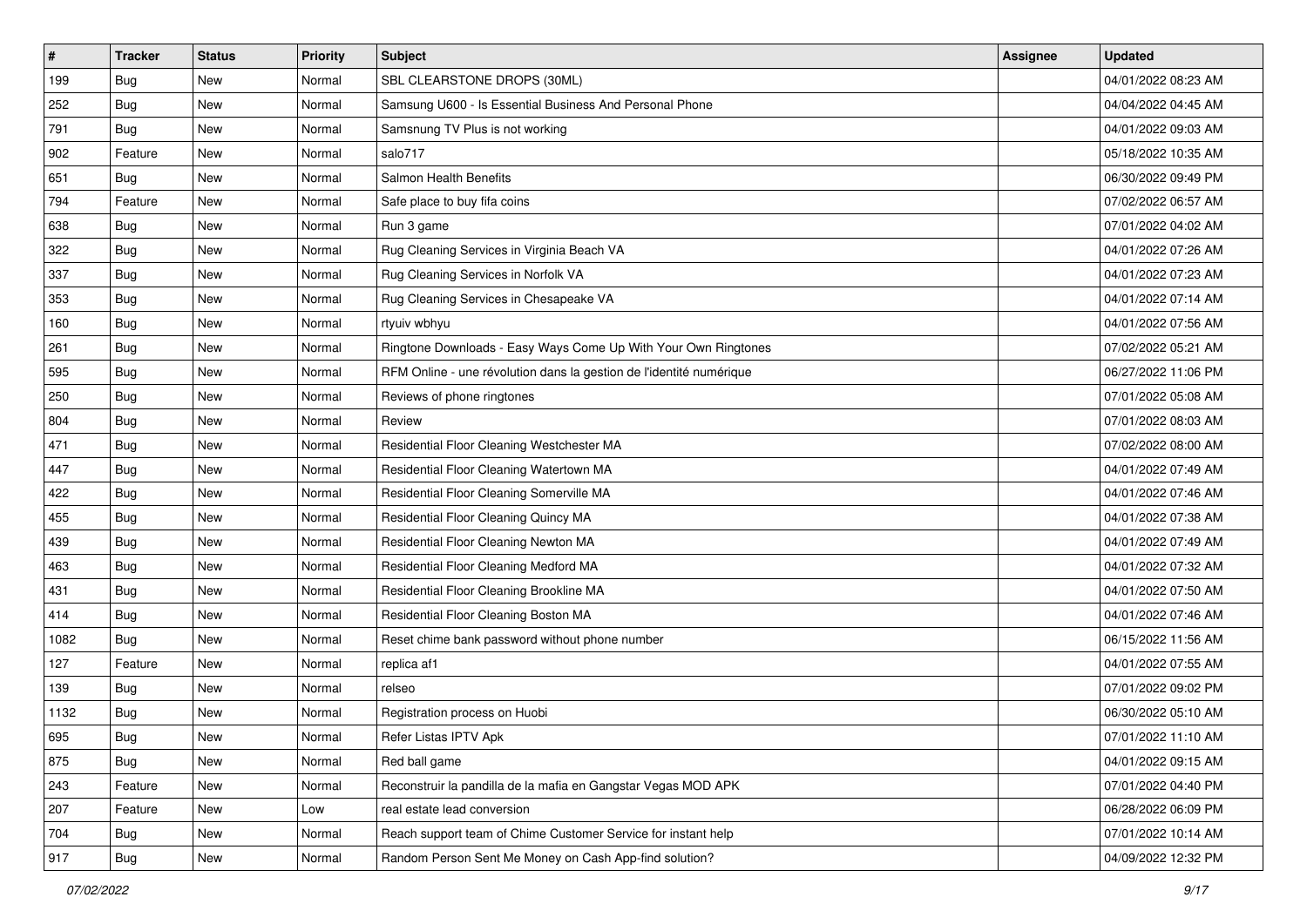| $\sharp$ | <b>Tracker</b> | <b>Status</b> | Priority | Subject                                                             | <b>Assignee</b> | <b>Updated</b>      |
|----------|----------------|---------------|----------|---------------------------------------------------------------------|-----------------|---------------------|
| 199      | Bug            | New           | Normal   | SBL CLEARSTONE DROPS (30ML)                                         |                 | 04/01/2022 08:23 AM |
| 252      | Bug            | New           | Normal   | Samsung U600 - Is Essential Business And Personal Phone             |                 | 04/04/2022 04:45 AM |
| 791      | Bug            | New           | Normal   | Samsnung TV Plus is not working                                     |                 | 04/01/2022 09:03 AM |
| 902      | Feature        | New           | Normal   | salo717                                                             |                 | 05/18/2022 10:35 AM |
| 651      | Bug            | <b>New</b>    | Normal   | <b>Salmon Health Benefits</b>                                       |                 | 06/30/2022 09:49 PM |
| 794      | Feature        | New           | Normal   | Safe place to buy fifa coins                                        |                 | 07/02/2022 06:57 AM |
| 638      | Bug            | New           | Normal   | Run 3 game                                                          |                 | 07/01/2022 04:02 AM |
| 322      | Bug            | New           | Normal   | Rug Cleaning Services in Virginia Beach VA                          |                 | 04/01/2022 07:26 AM |
| 337      | Bug            | New           | Normal   | Rug Cleaning Services in Norfolk VA                                 |                 | 04/01/2022 07:23 AM |
| 353      | Bug            | New           | Normal   | Rug Cleaning Services in Chesapeake VA                              |                 | 04/01/2022 07:14 AM |
| 160      | Bug            | New           | Normal   | rtyuiv wbhyu                                                        |                 | 04/01/2022 07:56 AM |
| 261      | Bug            | New           | Normal   | Ringtone Downloads - Easy Ways Come Up With Your Own Ringtones      |                 | 07/02/2022 05:21 AM |
| 595      | Bug            | New           | Normal   | RFM Online - une révolution dans la gestion de l'identité numérique |                 | 06/27/2022 11:06 PM |
| 250      | Bug            | New           | Normal   | Reviews of phone ringtones                                          |                 | 07/01/2022 05:08 AM |
| 804      | Bug            | New           | Normal   | Review                                                              |                 | 07/01/2022 08:03 AM |
| 471      | Bug            | New           | Normal   | Residential Floor Cleaning Westchester MA                           |                 | 07/02/2022 08:00 AM |
| 447      | Bug            | New           | Normal   | Residential Floor Cleaning Watertown MA                             |                 | 04/01/2022 07:49 AM |
| 422      | Bug            | <b>New</b>    | Normal   | Residential Floor Cleaning Somerville MA                            |                 | 04/01/2022 07:46 AM |
| 455      | Bug            | New           | Normal   | Residential Floor Cleaning Quincy MA                                |                 | 04/01/2022 07:38 AM |
| 439      | Bug            | New           | Normal   | Residential Floor Cleaning Newton MA                                |                 | 04/01/2022 07:49 AM |
| 463      | Bug            | New           | Normal   | Residential Floor Cleaning Medford MA                               |                 | 04/01/2022 07:32 AM |
| 431      | Bug            | New           | Normal   | Residential Floor Cleaning Brookline MA                             |                 | 04/01/2022 07:50 AM |
| 414      | Bug            | New           | Normal   | Residential Floor Cleaning Boston MA                                |                 | 04/01/2022 07:46 AM |
| 1082     | Bug            | New           | Normal   | Reset chime bank password without phone number                      |                 | 06/15/2022 11:56 AM |
| 127      | Feature        | New           | Normal   | replica af1                                                         |                 | 04/01/2022 07:55 AM |
| 139      | Bug            | New           | Normal   | relseo                                                              |                 | 07/01/2022 09:02 PM |
| 1132     | Bug            | New           | Normal   | Registration process on Huobi                                       |                 | 06/30/2022 05:10 AM |
| 695      | <b>Bug</b>     | New           | Normal   | Refer Listas IPTV Apk                                               |                 | 07/01/2022 11:10 AM |
| 875      | Bug            | New           | Normal   | Red ball game                                                       |                 | 04/01/2022 09:15 AM |
| 243      | Feature        | New           | Normal   | Reconstruir la pandilla de la mafia en Gangstar Vegas MOD APK       |                 | 07/01/2022 04:40 PM |
| 207      | Feature        | New           | Low      | real estate lead conversion                                         |                 | 06/28/2022 06:09 PM |
| 704      | Bug            | New           | Normal   | Reach support team of Chime Customer Service for instant help       |                 | 07/01/2022 10:14 AM |
| 917      | <b>Bug</b>     | New           | Normal   | Random Person Sent Me Money on Cash App-find solution?              |                 | 04/09/2022 12:32 PM |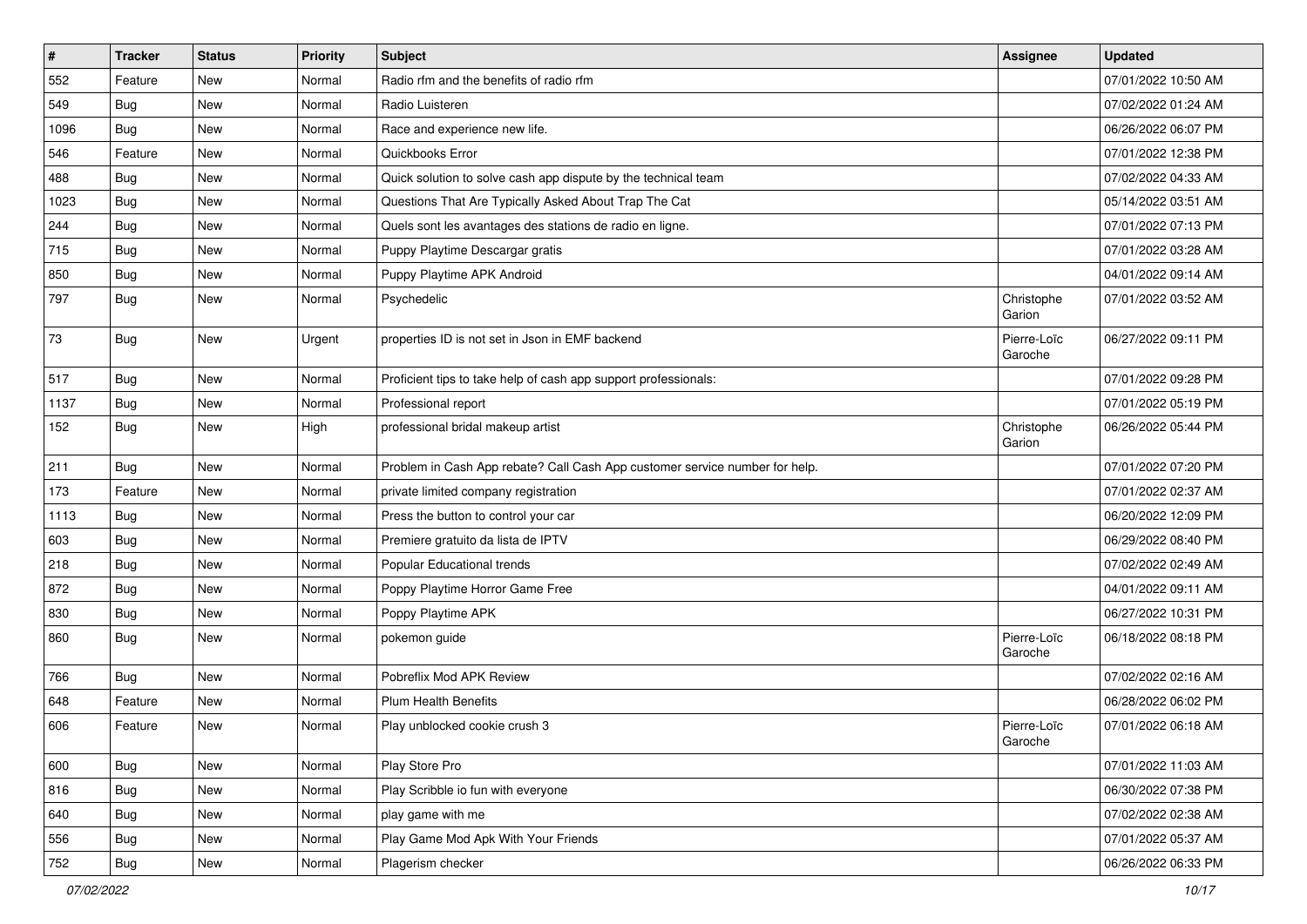| $\sharp$ | <b>Tracker</b> | <b>Status</b> | Priority | <b>Subject</b>                                                              | <b>Assignee</b>        | <b>Updated</b>      |
|----------|----------------|---------------|----------|-----------------------------------------------------------------------------|------------------------|---------------------|
| 552      | Feature        | New           | Normal   | Radio rfm and the benefits of radio rfm                                     |                        | 07/01/2022 10:50 AM |
| 549      | Bug            | New           | Normal   | Radio Luisteren                                                             |                        | 07/02/2022 01:24 AM |
| 1096     | Bug            | New           | Normal   | Race and experience new life.                                               |                        | 06/26/2022 06:07 PM |
| 546      | Feature        | New           | Normal   | Quickbooks Error                                                            |                        | 07/01/2022 12:38 PM |
| 488      | Bug            | New           | Normal   | Quick solution to solve cash app dispute by the technical team              |                        | 07/02/2022 04:33 AM |
| 1023     | Bug            | New           | Normal   | Questions That Are Typically Asked About Trap The Cat                       |                        | 05/14/2022 03:51 AM |
| 244      | Bug            | New           | Normal   | Quels sont les avantages des stations de radio en ligne.                    |                        | 07/01/2022 07:13 PM |
| 715      | Bug            | New           | Normal   | Puppy Playtime Descargar gratis                                             |                        | 07/01/2022 03:28 AM |
| 850      | Bug            | New           | Normal   | Puppy Playtime APK Android                                                  |                        | 04/01/2022 09:14 AM |
| 797      | Bug            | New           | Normal   | Psychedelic                                                                 | Christophe<br>Garion   | 07/01/2022 03:52 AM |
| 73       | Bug            | New           | Urgent   | properties ID is not set in Json in EMF backend                             | Pierre-Loïc<br>Garoche | 06/27/2022 09:11 PM |
| 517      | Bug            | New           | Normal   | Proficient tips to take help of cash app support professionals:             |                        | 07/01/2022 09:28 PM |
| 1137     | Bug            | New           | Normal   | Professional report                                                         |                        | 07/01/2022 05:19 PM |
| 152      | Bug            | New           | High     | professional bridal makeup artist                                           | Christophe<br>Garion   | 06/26/2022 05:44 PM |
| 211      | Bug            | New           | Normal   | Problem in Cash App rebate? Call Cash App customer service number for help. |                        | 07/01/2022 07:20 PM |
| 173      | Feature        | New           | Normal   | private limited company registration                                        |                        | 07/01/2022 02:37 AM |
| 1113     | Bug            | New           | Normal   | Press the button to control your car                                        |                        | 06/20/2022 12:09 PM |
| 603      | Bug            | New           | Normal   | Premiere gratuito da lista de IPTV                                          |                        | 06/29/2022 08:40 PM |
| 218      | Bug            | New           | Normal   | Popular Educational trends                                                  |                        | 07/02/2022 02:49 AM |
| 872      | Bug            | New           | Normal   | Poppy Playtime Horror Game Free                                             |                        | 04/01/2022 09:11 AM |
| 830      | Bug            | New           | Normal   | Poppy Playtime APK                                                          |                        | 06/27/2022 10:31 PM |
| 860      | Bug            | New           | Normal   | pokemon guide                                                               | Pierre-Loïc<br>Garoche | 06/18/2022 08:18 PM |
| 766      | Bug            | New           | Normal   | Pobreflix Mod APK Review                                                    |                        | 07/02/2022 02:16 AM |
| 648      | Feature        | New           | Normal   | <b>Plum Health Benefits</b>                                                 |                        | 06/28/2022 06:02 PM |
| 606      | Feature        | New           | Normal   | Play unblocked cookie crush 3                                               | Pierre-Loïc<br>Garoche | 07/01/2022 06:18 AM |
| 600      | Bug            | New           | Normal   | Play Store Pro                                                              |                        | 07/01/2022 11:03 AM |
| 816      | Bug            | New           | Normal   | Play Scribble io fun with everyone                                          |                        | 06/30/2022 07:38 PM |
| 640      | Bug            | New           | Normal   | play game with me                                                           |                        | 07/02/2022 02:38 AM |
| 556      | Bug            | New           | Normal   | Play Game Mod Apk With Your Friends                                         |                        | 07/01/2022 05:37 AM |
| 752      | Bug            | New           | Normal   | Plagerism checker                                                           |                        | 06/26/2022 06:33 PM |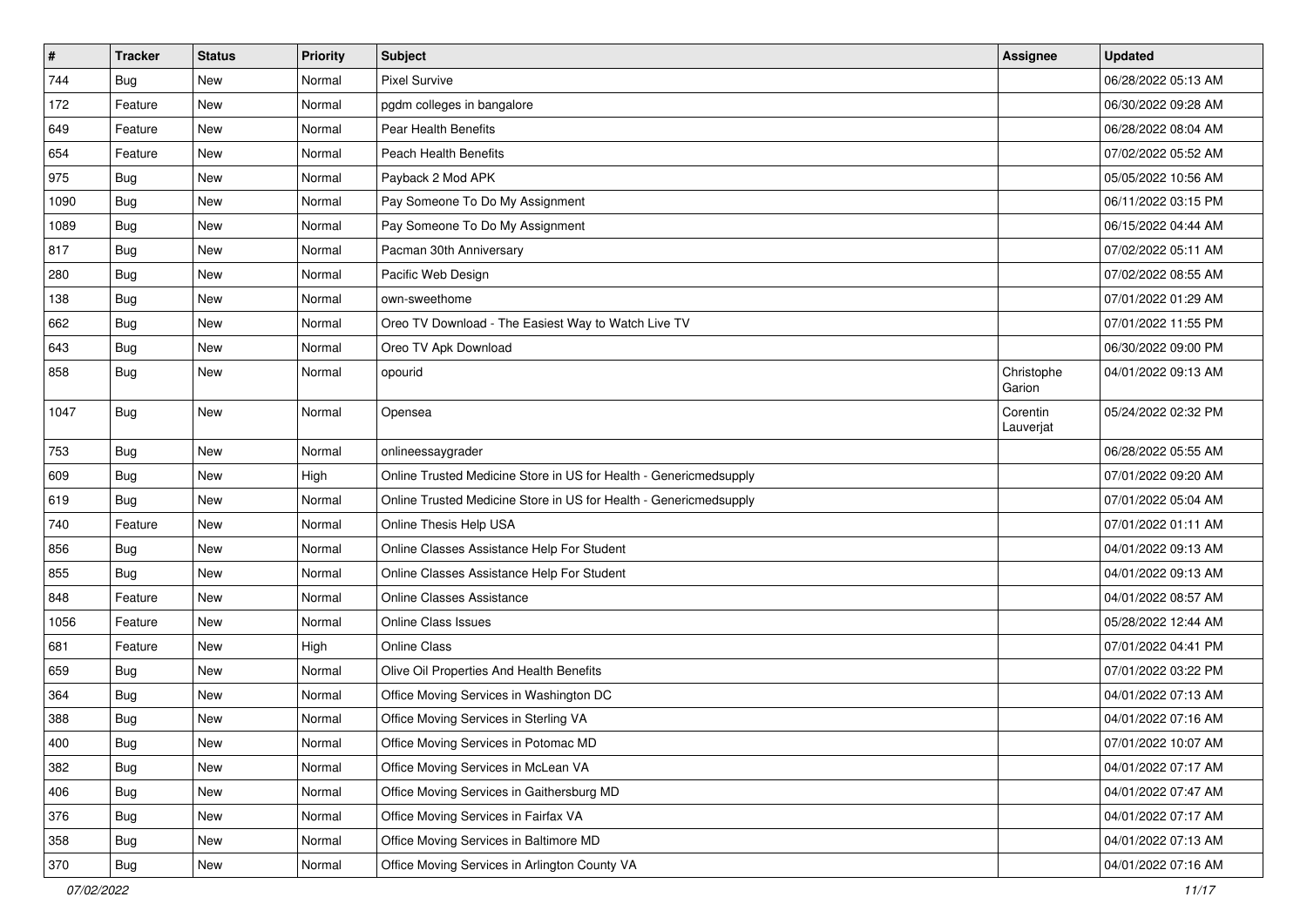| $\pmb{\#}$ | <b>Tracker</b> | <b>Status</b> | <b>Priority</b> | <b>Subject</b>                                                    | Assignee              | <b>Updated</b>      |
|------------|----------------|---------------|-----------------|-------------------------------------------------------------------|-----------------------|---------------------|
| 744        | Bug            | New           | Normal          | <b>Pixel Survive</b>                                              |                       | 06/28/2022 05:13 AM |
| 172        | Feature        | New           | Normal          | pgdm colleges in bangalore                                        |                       | 06/30/2022 09:28 AM |
| 649        | Feature        | New           | Normal          | Pear Health Benefits                                              |                       | 06/28/2022 08:04 AM |
| 654        | Feature        | <b>New</b>    | Normal          | <b>Peach Health Benefits</b>                                      |                       | 07/02/2022 05:52 AM |
| 975        | Bug            | <b>New</b>    | Normal          | Payback 2 Mod APK                                                 |                       | 05/05/2022 10:56 AM |
| 1090       | <b>Bug</b>     | New           | Normal          | Pay Someone To Do My Assignment                                   |                       | 06/11/2022 03:15 PM |
| 1089       | <b>Bug</b>     | <b>New</b>    | Normal          | Pay Someone To Do My Assignment                                   |                       | 06/15/2022 04:44 AM |
| 817        | <b>Bug</b>     | <b>New</b>    | Normal          | Pacman 30th Anniversary                                           |                       | 07/02/2022 05:11 AM |
| 280        | <b>Bug</b>     | <b>New</b>    | Normal          | Pacific Web Design                                                |                       | 07/02/2022 08:55 AM |
| 138        | Bug            | <b>New</b>    | Normal          | own-sweethome                                                     |                       | 07/01/2022 01:29 AM |
| 662        | Bug            | New           | Normal          | Oreo TV Download - The Easiest Way to Watch Live TV               |                       | 07/01/2022 11:55 PM |
| 643        | Bug            | New           | Normal          | Oreo TV Apk Download                                              |                       | 06/30/2022 09:00 PM |
| 858        | Bug            | <b>New</b>    | Normal          | opourid                                                           | Christophe<br>Garion  | 04/01/2022 09:13 AM |
| 1047       | Bug            | New           | Normal          | Opensea                                                           | Corentin<br>Lauverjat | 05/24/2022 02:32 PM |
| 753        | <b>Bug</b>     | <b>New</b>    | Normal          | onlineessaygrader                                                 |                       | 06/28/2022 05:55 AM |
| 609        | Bug            | <b>New</b>    | High            | Online Trusted Medicine Store in US for Health - Genericmedsupply |                       | 07/01/2022 09:20 AM |
| 619        | Bug            | New           | Normal          | Online Trusted Medicine Store in US for Health - Genericmedsupply |                       | 07/01/2022 05:04 AM |
| 740        | Feature        | New           | Normal          | Online Thesis Help USA                                            |                       | 07/01/2022 01:11 AM |
| 856        | Bug            | <b>New</b>    | Normal          | Online Classes Assistance Help For Student                        |                       | 04/01/2022 09:13 AM |
| 855        | Bug            | <b>New</b>    | Normal          | Online Classes Assistance Help For Student                        |                       | 04/01/2022 09:13 AM |
| 848        | Feature        | New           | Normal          | Online Classes Assistance                                         |                       | 04/01/2022 08:57 AM |
| 1056       | Feature        | New           | Normal          | <b>Online Class Issues</b>                                        |                       | 05/28/2022 12:44 AM |
| 681        | Feature        | <b>New</b>    | High            | Online Class                                                      |                       | 07/01/2022 04:41 PM |
| 659        | <b>Bug</b>     | <b>New</b>    | Normal          | Olive Oil Properties And Health Benefits                          |                       | 07/01/2022 03:22 PM |
| 364        | Bug            | New           | Normal          | Office Moving Services in Washington DC                           |                       | 04/01/2022 07:13 AM |
| 388        | Bug            | New           | Normal          | Office Moving Services in Sterling VA                             |                       | 04/01/2022 07:16 AM |
| 400        | Bug            | New           | Normal          | Office Moving Services in Potomac MD                              |                       | 07/01/2022 10:07 AM |
| 382        | Bug            | New           | Normal          | Office Moving Services in McLean VA                               |                       | 04/01/2022 07:17 AM |
| 406        | Bug            | New           | Normal          | Office Moving Services in Gaithersburg MD                         |                       | 04/01/2022 07:47 AM |
| 376        | Bug            | New           | Normal          | Office Moving Services in Fairfax VA                              |                       | 04/01/2022 07:17 AM |
| 358        | Bug            | New           | Normal          | Office Moving Services in Baltimore MD                            |                       | 04/01/2022 07:13 AM |
| 370        | <b>Bug</b>     | New           | Normal          | Office Moving Services in Arlington County VA                     |                       | 04/01/2022 07:16 AM |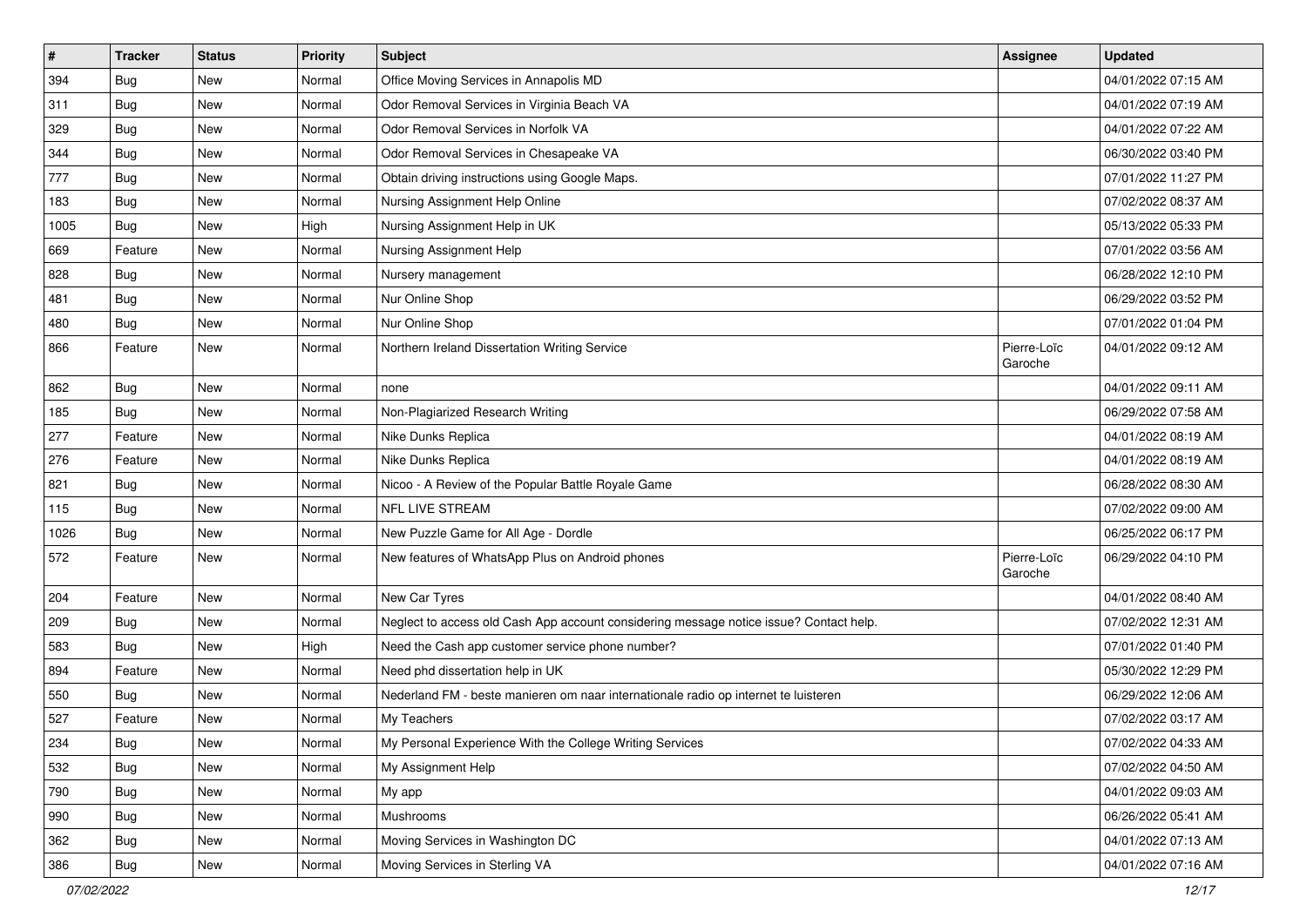| $\sharp$ | <b>Tracker</b> | <b>Status</b> | <b>Priority</b> | Subject                                                                                | Assignee               | <b>Updated</b>      |
|----------|----------------|---------------|-----------------|----------------------------------------------------------------------------------------|------------------------|---------------------|
| 394      | Bug            | New           | Normal          | Office Moving Services in Annapolis MD                                                 |                        | 04/01/2022 07:15 AM |
| 311      | Bug            | New           | Normal          | Odor Removal Services in Virginia Beach VA                                             |                        | 04/01/2022 07:19 AM |
| 329      | Bug            | New           | Normal          | Odor Removal Services in Norfolk VA                                                    |                        | 04/01/2022 07:22 AM |
| 344      | Bug            | New           | Normal          | Odor Removal Services in Chesapeake VA                                                 |                        | 06/30/2022 03:40 PM |
| 777      | Bug            | <b>New</b>    | Normal          | Obtain driving instructions using Google Maps.                                         |                        | 07/01/2022 11:27 PM |
| 183      | Bug            | New           | Normal          | Nursing Assignment Help Online                                                         |                        | 07/02/2022 08:37 AM |
| 1005     | Bug            | <b>New</b>    | High            | Nursing Assignment Help in UK                                                          |                        | 05/13/2022 05:33 PM |
| 669      | Feature        | New           | Normal          | Nursing Assignment Help                                                                |                        | 07/01/2022 03:56 AM |
| 828      | Bug            | New           | Normal          | Nursery management                                                                     |                        | 06/28/2022 12:10 PM |
| 481      | Bug            | <b>New</b>    | Normal          | Nur Online Shop                                                                        |                        | 06/29/2022 03:52 PM |
| 480      | Bug            | New           | Normal          | Nur Online Shop                                                                        |                        | 07/01/2022 01:04 PM |
| 866      | Feature        | New           | Normal          | Northern Ireland Dissertation Writing Service                                          | Pierre-Loïc<br>Garoche | 04/01/2022 09:12 AM |
| 862      | Bug            | <b>New</b>    | Normal          | none                                                                                   |                        | 04/01/2022 09:11 AM |
| 185      | Bug            | New           | Normal          | Non-Plagiarized Research Writing                                                       |                        | 06/29/2022 07:58 AM |
| 277      | Feature        | New           | Normal          | Nike Dunks Replica                                                                     |                        | 04/01/2022 08:19 AM |
| 276      | Feature        | New           | Normal          | Nike Dunks Replica                                                                     |                        | 04/01/2022 08:19 AM |
| 821      | Bug            | <b>New</b>    | Normal          | Nicoo - A Review of the Popular Battle Royale Game                                     |                        | 06/28/2022 08:30 AM |
| 115      | Bug            | New           | Normal          | NFL LIVE STREAM                                                                        |                        | 07/02/2022 09:00 AM |
| 1026     | Bug            | <b>New</b>    | Normal          | New Puzzle Game for All Age - Dordle                                                   |                        | 06/25/2022 06:17 PM |
| 572      | Feature        | New           | Normal          | New features of WhatsApp Plus on Android phones                                        | Pierre-Loïc<br>Garoche | 06/29/2022 04:10 PM |
| 204      | Feature        | <b>New</b>    | Normal          | New Car Tyres                                                                          |                        | 04/01/2022 08:40 AM |
| 209      | Bug            | New           | Normal          | Neglect to access old Cash App account considering message notice issue? Contact help. |                        | 07/02/2022 12:31 AM |
| 583      | Bug            | New           | High            | Need the Cash app customer service phone number?                                       |                        | 07/01/2022 01:40 PM |
| 894      | Feature        | <b>New</b>    | Normal          | Need phd dissertation help in UK                                                       |                        | 05/30/2022 12:29 PM |
| 550      | Bug            | New           | Normal          | Nederland FM - beste manieren om naar internationale radio op internet te luisteren    |                        | 06/29/2022 12:06 AM |
| 527      | Feature        | <b>New</b>    | Normal          | My Teachers                                                                            |                        | 07/02/2022 03:17 AM |
| 234      | <b>Bug</b>     | New           | Normal          | My Personal Experience With the College Writing Services                               |                        | 07/02/2022 04:33 AM |
| 532      | Bug            | New           | Normal          | My Assignment Help                                                                     |                        | 07/02/2022 04:50 AM |
| 790      | Bug            | New           | Normal          | My app                                                                                 |                        | 04/01/2022 09:03 AM |
| 990      | Bug            | New           | Normal          | Mushrooms                                                                              |                        | 06/26/2022 05:41 AM |
| 362      | Bug            | New           | Normal          | Moving Services in Washington DC                                                       |                        | 04/01/2022 07:13 AM |
| 386      | Bug            | New           | Normal          | Moving Services in Sterling VA                                                         |                        | 04/01/2022 07:16 AM |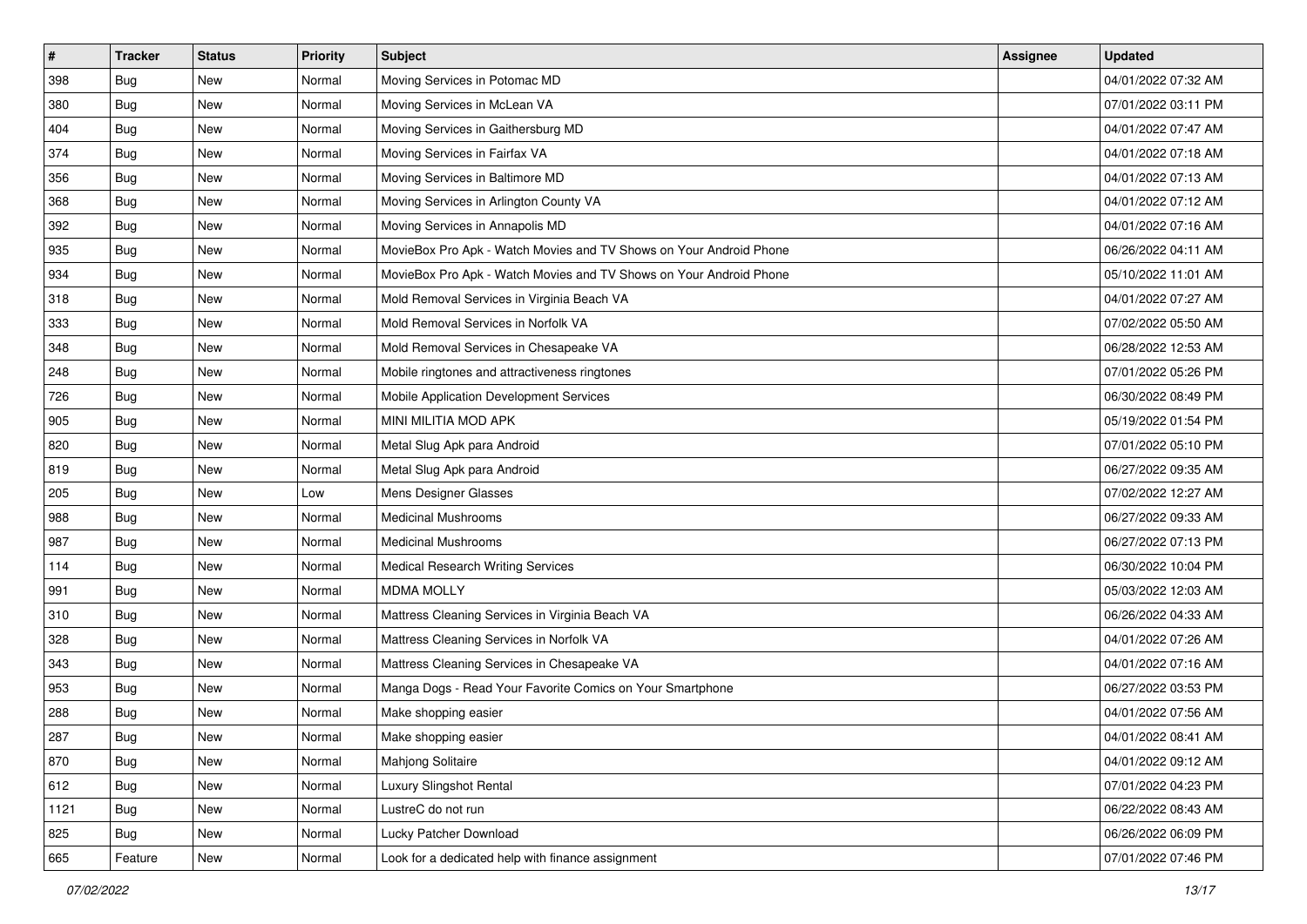| $\sharp$ | <b>Tracker</b> | <b>Status</b> | Priority | <b>Subject</b>                                                     | Assignee | <b>Updated</b>      |
|----------|----------------|---------------|----------|--------------------------------------------------------------------|----------|---------------------|
| 398      | <b>Bug</b>     | New           | Normal   | Moving Services in Potomac MD                                      |          | 04/01/2022 07:32 AM |
| 380      | Bug            | New           | Normal   | Moving Services in McLean VA                                       |          | 07/01/2022 03:11 PM |
| 404      | Bug            | New           | Normal   | Moving Services in Gaithersburg MD                                 |          | 04/01/2022 07:47 AM |
| 374      | Bug            | New           | Normal   | Moving Services in Fairfax VA                                      |          | 04/01/2022 07:18 AM |
| 356      | Bug            | New           | Normal   | Moving Services in Baltimore MD                                    |          | 04/01/2022 07:13 AM |
| 368      | Bug            | New           | Normal   | Moving Services in Arlington County VA                             |          | 04/01/2022 07:12 AM |
| 392      | Bug            | New           | Normal   | Moving Services in Annapolis MD                                    |          | 04/01/2022 07:16 AM |
| 935      | Bug            | New           | Normal   | MovieBox Pro Apk - Watch Movies and TV Shows on Your Android Phone |          | 06/26/2022 04:11 AM |
| 934      | Bug            | New           | Normal   | MovieBox Pro Apk - Watch Movies and TV Shows on Your Android Phone |          | 05/10/2022 11:01 AM |
| 318      | Bug            | New           | Normal   | Mold Removal Services in Virginia Beach VA                         |          | 04/01/2022 07:27 AM |
| 333      | Bug            | New           | Normal   | Mold Removal Services in Norfolk VA                                |          | 07/02/2022 05:50 AM |
| 348      | Bug            | New           | Normal   | Mold Removal Services in Chesapeake VA                             |          | 06/28/2022 12:53 AM |
| 248      | Bug            | <b>New</b>    | Normal   | Mobile ringtones and attractiveness ringtones                      |          | 07/01/2022 05:26 PM |
| 726      | Bug            | New           | Normal   | Mobile Application Development Services                            |          | 06/30/2022 08:49 PM |
| 905      | Bug            | New           | Normal   | MINI MILITIA MOD APK                                               |          | 05/19/2022 01:54 PM |
| 820      | Bug            | New           | Normal   | Metal Slug Apk para Android                                        |          | 07/01/2022 05:10 PM |
| 819      | Bug            | New           | Normal   | Metal Slug Apk para Android                                        |          | 06/27/2022 09:35 AM |
| 205      | Bug            | New           | Low      | Mens Designer Glasses                                              |          | 07/02/2022 12:27 AM |
| 988      | Bug            | New           | Normal   | <b>Medicinal Mushrooms</b>                                         |          | 06/27/2022 09:33 AM |
| 987      | Bug            | New           | Normal   | <b>Medicinal Mushrooms</b>                                         |          | 06/27/2022 07:13 PM |
| 114      | Bug            | New           | Normal   | Medical Research Writing Services                                  |          | 06/30/2022 10:04 PM |
| 991      | Bug            | New           | Normal   | <b>MDMA MOLLY</b>                                                  |          | 05/03/2022 12:03 AM |
| 310      | Bug            | New           | Normal   | Mattress Cleaning Services in Virginia Beach VA                    |          | 06/26/2022 04:33 AM |
| 328      | Bug            | New           | Normal   | Mattress Cleaning Services in Norfolk VA                           |          | 04/01/2022 07:26 AM |
| 343      | Bug            | New           | Normal   | Mattress Cleaning Services in Chesapeake VA                        |          | 04/01/2022 07:16 AM |
| 953      | Bug            | New           | Normal   | Manga Dogs - Read Your Favorite Comics on Your Smartphone          |          | 06/27/2022 03:53 PM |
| 288      | Bug            | New           | Normal   | Make shopping easier                                               |          | 04/01/2022 07:56 AM |
| 287      | <b>Bug</b>     | New           | Normal   | Make shopping easier                                               |          | 04/01/2022 08:41 AM |
| 870      | Bug            | New           | Normal   | Mahjong Solitaire                                                  |          | 04/01/2022 09:12 AM |
| 612      | Bug            | New           | Normal   | Luxury Slingshot Rental                                            |          | 07/01/2022 04:23 PM |
| 1121     | Bug            | New           | Normal   | LustreC do not run                                                 |          | 06/22/2022 08:43 AM |
| 825      | Bug            | New           | Normal   | Lucky Patcher Download                                             |          | 06/26/2022 06:09 PM |
| 665      | Feature        | New           | Normal   | Look for a dedicated help with finance assignment                  |          | 07/01/2022 07:46 PM |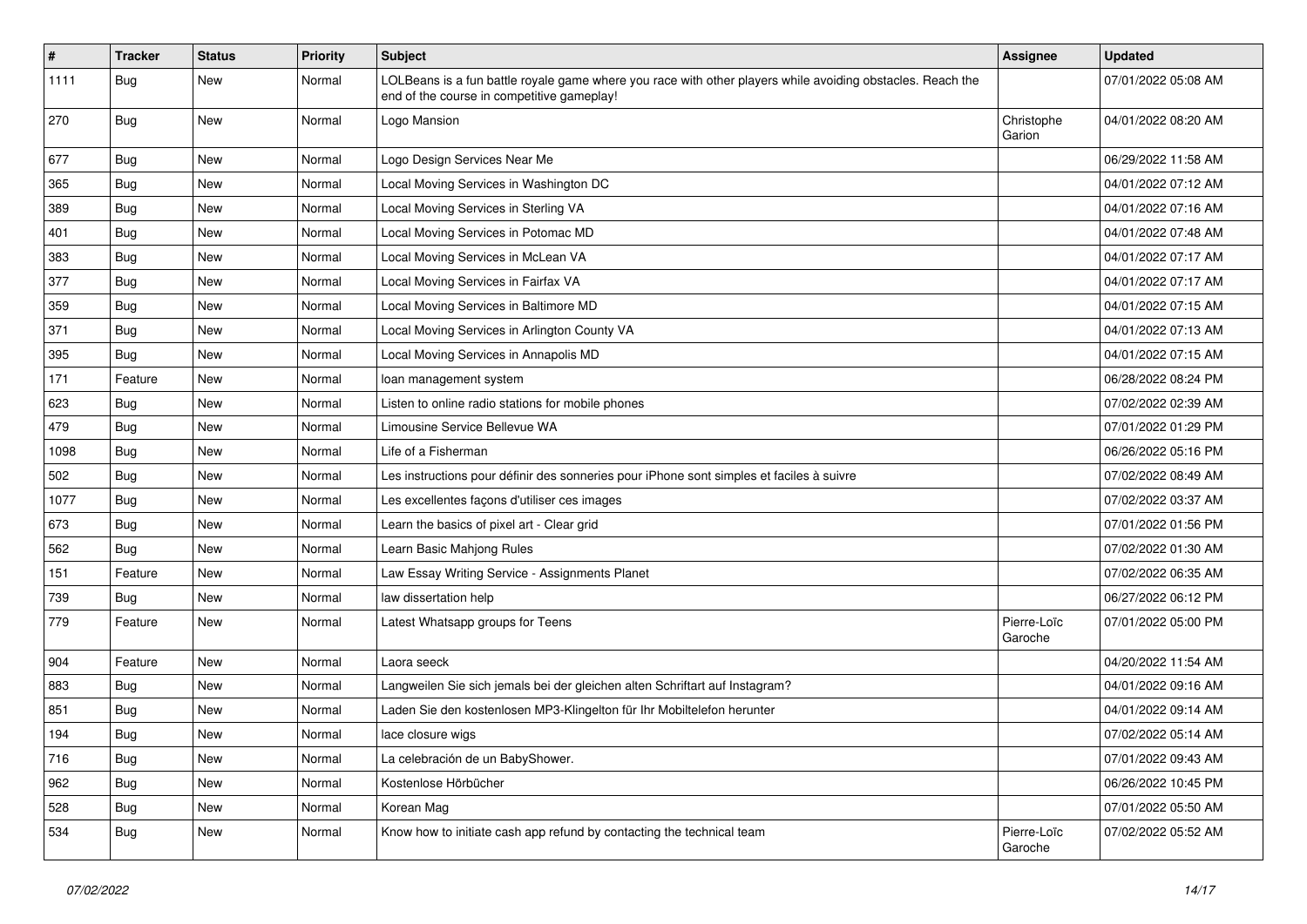| $\vert$ # | <b>Tracker</b> | <b>Status</b> | <b>Priority</b> | Subject                                                                                                                                                  | Assignee               | <b>Updated</b>      |
|-----------|----------------|---------------|-----------------|----------------------------------------------------------------------------------------------------------------------------------------------------------|------------------------|---------------------|
| 1111      | <b>Bug</b>     | New           | Normal          | LOLBeans is a fun battle royale game where you race with other players while avoiding obstacles. Reach the<br>end of the course in competitive gameplay! |                        | 07/01/2022 05:08 AM |
| 270       | Bug            | New           | Normal          | Logo Mansion                                                                                                                                             | Christophe<br>Garion   | 04/01/2022 08:20 AM |
| 677       | Bug            | <b>New</b>    | Normal          | Logo Design Services Near Me                                                                                                                             |                        | 06/29/2022 11:58 AM |
| 365       | <b>Bug</b>     | New           | Normal          | Local Moving Services in Washington DC                                                                                                                   |                        | 04/01/2022 07:12 AM |
| 389       | Bug            | New           | Normal          | Local Moving Services in Sterling VA                                                                                                                     |                        | 04/01/2022 07:16 AM |
| 401       | <b>Bug</b>     | New           | Normal          | Local Moving Services in Potomac MD                                                                                                                      |                        | 04/01/2022 07:48 AM |
| 383       | Bug            | New           | Normal          | Local Moving Services in McLean VA                                                                                                                       |                        | 04/01/2022 07:17 AM |
| 377       | Bug            | New           | Normal          | Local Moving Services in Fairfax VA                                                                                                                      |                        | 04/01/2022 07:17 AM |
| 359       | Bug            | New           | Normal          | Local Moving Services in Baltimore MD                                                                                                                    |                        | 04/01/2022 07:15 AM |
| 371       | <b>Bug</b>     | New           | Normal          | Local Moving Services in Arlington County VA                                                                                                             |                        | 04/01/2022 07:13 AM |
| 395       | Bug            | <b>New</b>    | Normal          | Local Moving Services in Annapolis MD                                                                                                                    |                        | 04/01/2022 07:15 AM |
| 171       | Feature        | New           | Normal          | loan management system                                                                                                                                   |                        | 06/28/2022 08:24 PM |
| 623       | Bug            | New           | Normal          | Listen to online radio stations for mobile phones                                                                                                        |                        | 07/02/2022 02:39 AM |
| 479       | Bug            | New           | Normal          | Limousine Service Bellevue WA                                                                                                                            |                        | 07/01/2022 01:29 PM |
| 1098      | Bug            | New           | Normal          | Life of a Fisherman                                                                                                                                      |                        | 06/26/2022 05:16 PM |
| 502       | Bug            | <b>New</b>    | Normal          | Les instructions pour définir des sonneries pour iPhone sont simples et faciles à suivre                                                                 |                        | 07/02/2022 08:49 AM |
| 1077      | Bug            | New           | Normal          | Les excellentes façons d'utiliser ces images                                                                                                             |                        | 07/02/2022 03:37 AM |
| 673       | Bug            | New           | Normal          | Learn the basics of pixel art - Clear grid                                                                                                               |                        | 07/01/2022 01:56 PM |
| 562       | <b>Bug</b>     | New           | Normal          | Learn Basic Mahjong Rules                                                                                                                                |                        | 07/02/2022 01:30 AM |
| 151       | Feature        | New           | Normal          | Law Essay Writing Service - Assignments Planet                                                                                                           |                        | 07/02/2022 06:35 AM |
| 739       | Bug            | New           | Normal          | law dissertation help                                                                                                                                    |                        | 06/27/2022 06:12 PM |
| 779       | Feature        | New           | Normal          | Latest Whatsapp groups for Teens                                                                                                                         | Pierre-Loïc<br>Garoche | 07/01/2022 05:00 PM |
| 904       | Feature        | New           | Normal          | Laora seeck                                                                                                                                              |                        | 04/20/2022 11:54 AM |
| 883       | Bug            | New           | Normal          | Langweilen Sie sich jemals bei der gleichen alten Schriftart auf Instagram?                                                                              |                        | 04/01/2022 09:16 AM |
| 851       | Bug            | New           | Normal          | Laden Sie den kostenlosen MP3-Klingelton für Ihr Mobiltelefon herunter                                                                                   |                        | 04/01/2022 09:14 AM |
| 194       | Bug            | New           | Normal          | lace closure wigs                                                                                                                                        |                        | 07/02/2022 05:14 AM |
| 716       | Bug            | New           | Normal          | La celebración de un BabyShower.                                                                                                                         |                        | 07/01/2022 09:43 AM |
| 962       | Bug            | New           | Normal          | Kostenlose Hörbücher                                                                                                                                     |                        | 06/26/2022 10:45 PM |
| 528       | Bug            | New           | Normal          | Korean Mag                                                                                                                                               |                        | 07/01/2022 05:50 AM |
| 534       | <b>Bug</b>     | New           | Normal          | Know how to initiate cash app refund by contacting the technical team                                                                                    | Pierre-Loïc<br>Garoche | 07/02/2022 05:52 AM |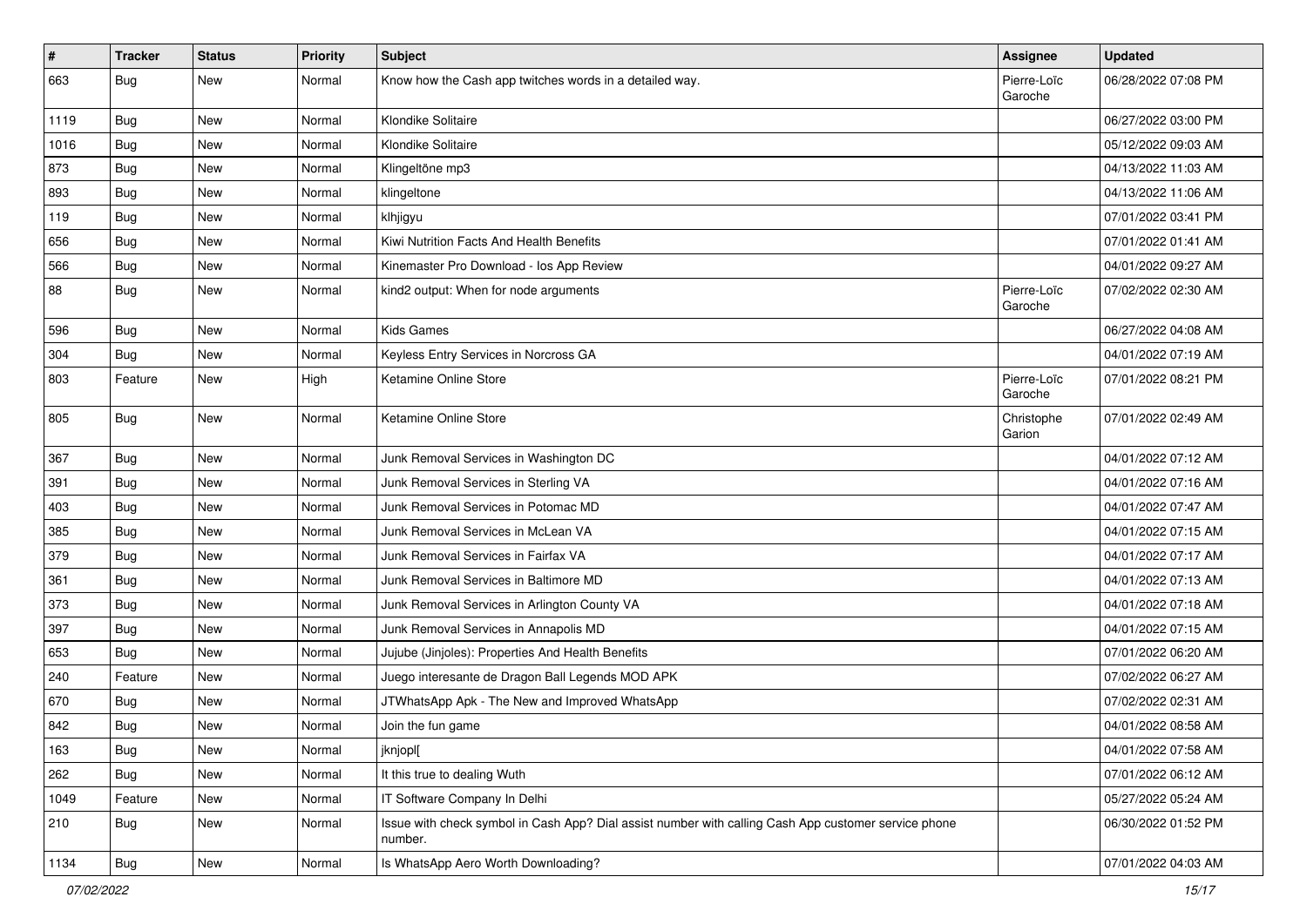| $\vert$ # | <b>Tracker</b> | <b>Status</b> | Priority | <b>Subject</b>                                                                                                  | <b>Assignee</b>        | <b>Updated</b>      |
|-----------|----------------|---------------|----------|-----------------------------------------------------------------------------------------------------------------|------------------------|---------------------|
| 663       | <b>Bug</b>     | New           | Normal   | Know how the Cash app twitches words in a detailed way.                                                         | Pierre-Loïc<br>Garoche | 06/28/2022 07:08 PM |
| 1119      | Bug            | New           | Normal   | Klondike Solitaire                                                                                              |                        | 06/27/2022 03:00 PM |
| 1016      | Bug            | New           | Normal   | Klondike Solitaire                                                                                              |                        | 05/12/2022 09:03 AM |
| 873       | Bug            | New           | Normal   | Klingeltöne mp3                                                                                                 |                        | 04/13/2022 11:03 AM |
| 893       | Bug            | New           | Normal   | klingeltone                                                                                                     |                        | 04/13/2022 11:06 AM |
| 119       | Bug            | New           | Normal   | klhjigyu                                                                                                        |                        | 07/01/2022 03:41 PM |
| 656       | Bug            | New           | Normal   | Kiwi Nutrition Facts And Health Benefits                                                                        |                        | 07/01/2022 01:41 AM |
| 566       | Bug            | New           | Normal   | Kinemaster Pro Download - los App Review                                                                        |                        | 04/01/2022 09:27 AM |
| 88        | Bug            | New           | Normal   | kind2 output: When for node arguments                                                                           | Pierre-Loïc<br>Garoche | 07/02/2022 02:30 AM |
| 596       | Bug            | <b>New</b>    | Normal   | <b>Kids Games</b>                                                                                               |                        | 06/27/2022 04:08 AM |
| 304       | Bug            | New           | Normal   | Keyless Entry Services in Norcross GA                                                                           |                        | 04/01/2022 07:19 AM |
| 803       | Feature        | New           | High     | Ketamine Online Store                                                                                           | Pierre-Loïc<br>Garoche | 07/01/2022 08:21 PM |
| 805       | <b>Bug</b>     | New           | Normal   | Ketamine Online Store                                                                                           | Christophe<br>Garion   | 07/01/2022 02:49 AM |
| 367       | Bug            | <b>New</b>    | Normal   | Junk Removal Services in Washington DC                                                                          |                        | 04/01/2022 07:12 AM |
| 391       | Bug            | New           | Normal   | Junk Removal Services in Sterling VA                                                                            |                        | 04/01/2022 07:16 AM |
| 403       | Bug            | New           | Normal   | Junk Removal Services in Potomac MD                                                                             |                        | 04/01/2022 07:47 AM |
| 385       | Bug            | New           | Normal   | Junk Removal Services in McLean VA                                                                              |                        | 04/01/2022 07:15 AM |
| 379       | Bug            | New           | Normal   | Junk Removal Services in Fairfax VA                                                                             |                        | 04/01/2022 07:17 AM |
| 361       | Bug            | New           | Normal   | Junk Removal Services in Baltimore MD                                                                           |                        | 04/01/2022 07:13 AM |
| 373       | Bug            | New           | Normal   | Junk Removal Services in Arlington County VA                                                                    |                        | 04/01/2022 07:18 AM |
| 397       | Bug            | New           | Normal   | Junk Removal Services in Annapolis MD                                                                           |                        | 04/01/2022 07:15 AM |
| 653       | Bug            | New           | Normal   | Jujube (Jinjoles): Properties And Health Benefits                                                               |                        | 07/01/2022 06:20 AM |
| 240       | Feature        | New           | Normal   | Juego interesante de Dragon Ball Legends MOD APK                                                                |                        | 07/02/2022 06:27 AM |
| 670       | Bug            | New           | Normal   | JTWhatsApp Apk - The New and Improved WhatsApp                                                                  |                        | 07/02/2022 02:31 AM |
| 842       | Bug            | New           | Normal   | Join the fun game                                                                                               |                        | 04/01/2022 08:58 AM |
| 163       | <b>Bug</b>     | New           | Normal   | jknjopl[                                                                                                        |                        | 04/01/2022 07:58 AM |
| 262       | Bug            | New           | Normal   | It this true to dealing Wuth                                                                                    |                        | 07/01/2022 06:12 AM |
| 1049      | Feature        | New           | Normal   | IT Software Company In Delhi                                                                                    |                        | 05/27/2022 05:24 AM |
| 210       | Bug            | New           | Normal   | Issue with check symbol in Cash App? Dial assist number with calling Cash App customer service phone<br>number. |                        | 06/30/2022 01:52 PM |
| 1134      | <b>Bug</b>     | New           | Normal   | Is WhatsApp Aero Worth Downloading?                                                                             |                        | 07/01/2022 04:03 AM |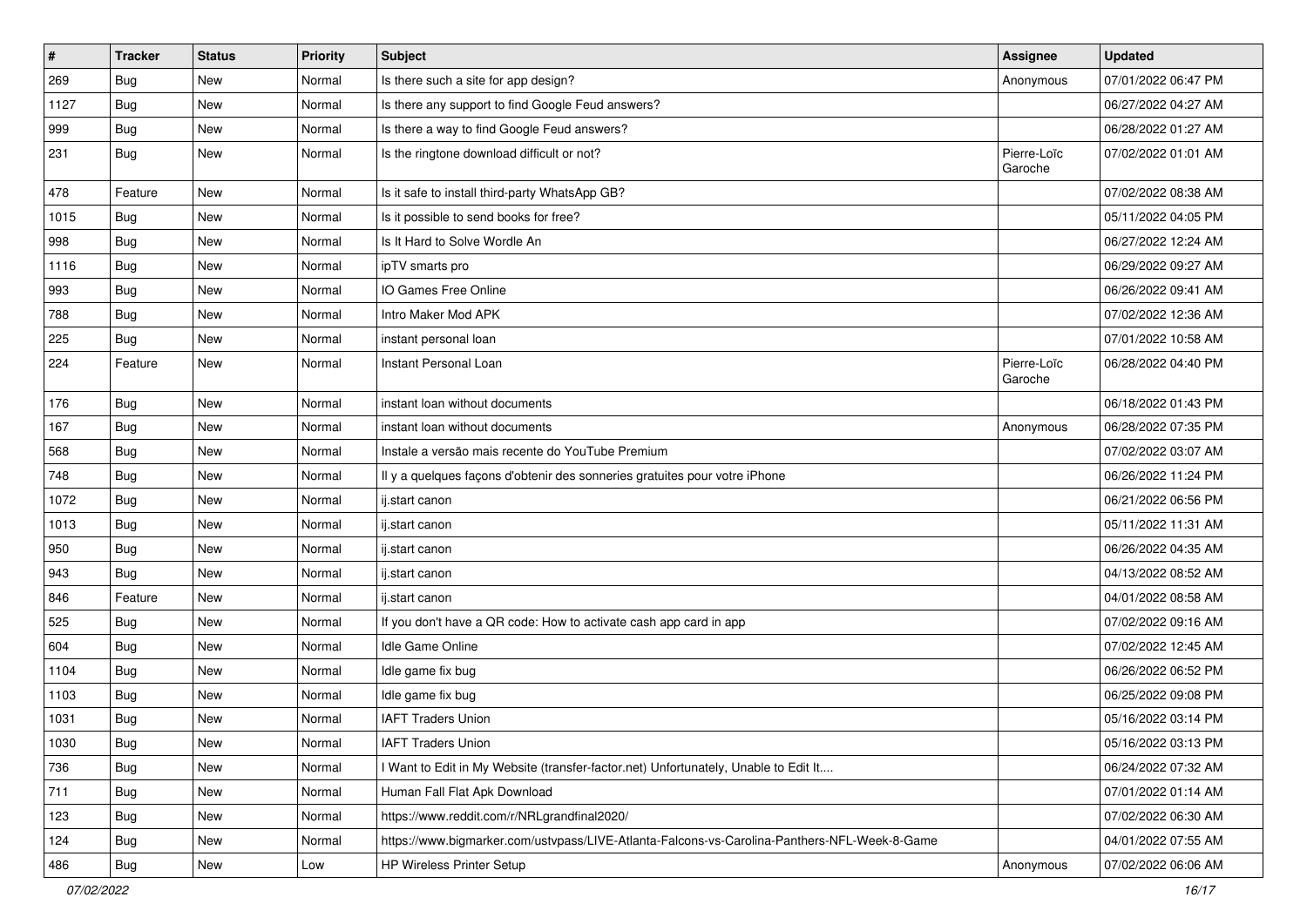| $\vert$ # | <b>Tracker</b> | <b>Status</b> | <b>Priority</b> | Subject                                                                                      | Assignee               | <b>Updated</b>      |
|-----------|----------------|---------------|-----------------|----------------------------------------------------------------------------------------------|------------------------|---------------------|
| 269       | Bug            | New           | Normal          | Is there such a site for app design?                                                         | Anonymous              | 07/01/2022 06:47 PM |
| 1127      | Bug            | <b>New</b>    | Normal          | Is there any support to find Google Feud answers?                                            |                        | 06/27/2022 04:27 AM |
| 999       | Bug            | New           | Normal          | Is there a way to find Google Feud answers?                                                  |                        | 06/28/2022 01:27 AM |
| 231       | Bug            | New           | Normal          | Is the ringtone download difficult or not?                                                   | Pierre-Loïc<br>Garoche | 07/02/2022 01:01 AM |
| 478       | Feature        | <b>New</b>    | Normal          | Is it safe to install third-party WhatsApp GB?                                               |                        | 07/02/2022 08:38 AM |
| 1015      | Bug            | New           | Normal          | Is it possible to send books for free?                                                       |                        | 05/11/2022 04:05 PM |
| 998       | Bug            | New           | Normal          | Is It Hard to Solve Wordle An                                                                |                        | 06/27/2022 12:24 AM |
| 1116      | Bug            | New           | Normal          | ipTV smarts pro                                                                              |                        | 06/29/2022 09:27 AM |
| 993       | Bug            | New           | Normal          | IO Games Free Online                                                                         |                        | 06/26/2022 09:41 AM |
| 788       | <b>Bug</b>     | New           | Normal          | Intro Maker Mod APK                                                                          |                        | 07/02/2022 12:36 AM |
| 225       | <b>Bug</b>     | New           | Normal          | instant personal loan                                                                        |                        | 07/01/2022 10:58 AM |
| 224       | Feature        | New           | Normal          | Instant Personal Loan                                                                        | Pierre-Loïc<br>Garoche | 06/28/2022 04:40 PM |
| 176       | Bug            | <b>New</b>    | Normal          | instant loan without documents                                                               |                        | 06/18/2022 01:43 PM |
| 167       | Bug            | New           | Normal          | instant loan without documents                                                               | Anonymous              | 06/28/2022 07:35 PM |
| 568       | <b>Bug</b>     | New           | Normal          | Instale a versão mais recente do YouTube Premium                                             |                        | 07/02/2022 03:07 AM |
| 748       | Bug            | New           | Normal          | Il y a quelques façons d'obtenir des sonneries gratuites pour votre iPhone                   |                        | 06/26/2022 11:24 PM |
| 1072      | Bug            | New           | Normal          | ij.start canon                                                                               |                        | 06/21/2022 06:56 PM |
| 1013      | <b>Bug</b>     | New           | Normal          | ij.start canon                                                                               |                        | 05/11/2022 11:31 AM |
| 950       | Bug            | New           | Normal          | ij.start canon                                                                               |                        | 06/26/2022 04:35 AM |
| 943       | Bug            | New           | Normal          | ij.start canon                                                                               |                        | 04/13/2022 08:52 AM |
| 846       | Feature        | New           | Normal          | ij.start canon                                                                               |                        | 04/01/2022 08:58 AM |
| 525       | <b>Bug</b>     | New           | Normal          | If you don't have a QR code: How to activate cash app card in app                            |                        | 07/02/2022 09:16 AM |
| 604       | <b>Bug</b>     | New           | Normal          | Idle Game Online                                                                             |                        | 07/02/2022 12:45 AM |
| 1104      | Bug            | New           | Normal          | Idle game fix bug                                                                            |                        | 06/26/2022 06:52 PM |
| 1103      | Bug            | New           | Normal          | Idle game fix bug                                                                            |                        | 06/25/2022 09:08 PM |
| 1031      | Bug            | New           | Normal          | <b>IAFT Traders Union</b>                                                                    |                        | 05/16/2022 03:14 PM |
| 1030      | <b>Bug</b>     | New           | Normal          | <b>IAFT Traders Union</b>                                                                    |                        | 05/16/2022 03:13 PM |
| 736       | Bug            | New           | Normal          | I Want to Edit in My Website (transfer-factor.net) Unfortunately, Unable to Edit It          |                        | 06/24/2022 07:32 AM |
| 711       | Bug            | New           | Normal          | Human Fall Flat Apk Download                                                                 |                        | 07/01/2022 01:14 AM |
| 123       | Bug            | New           | Normal          | https://www.reddit.com/r/NRLgrandfinal2020/                                                  |                        | 07/02/2022 06:30 AM |
| 124       | Bug            | New           | Normal          | https://www.bigmarker.com/ustvpass/LIVE-Atlanta-Falcons-vs-Carolina-Panthers-NFL-Week-8-Game |                        | 04/01/2022 07:55 AM |
| 486       | <b>Bug</b>     | New           | Low             | HP Wireless Printer Setup                                                                    | Anonymous              | 07/02/2022 06:06 AM |